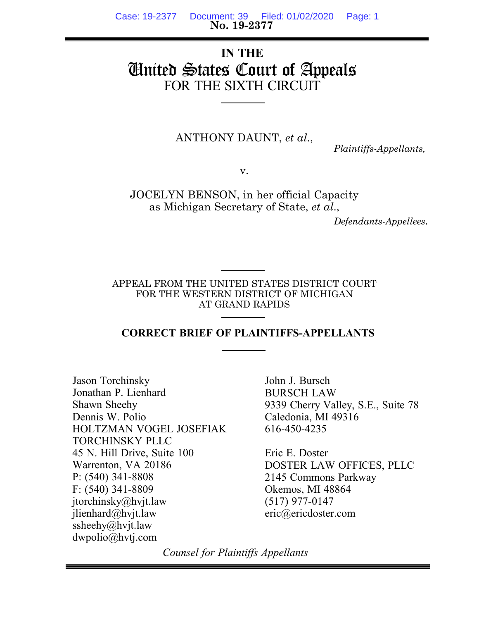**No. 19-2377** Case: 19-2377 Document: 39 Filed: 01/02/2020 Page: 1

# **IN THE** United States Court of Appeals FOR THE SIXTH CIRCUIT

ANTHONY DAUNT, *et al*.,

 *Plaintiffs-Appellants,*

v.

JOCELYN BENSON, in her official Capacity as Michigan Secretary of State, *et al*.,

 *Defendants-Appellees*.

APPEAL FROM THE UNITED STATES DISTRICT COURT FOR THE WESTERN DISTRICT OF MICHIGAN AT GRAND RAPIDS

#### **CORRECT BRIEF OF PLAINTIFFS-APPELLANTS**

Jason Torchinsky Jonathan P. Lienhard Shawn Sheehy Dennis W. Polio HOLTZMAN VOGEL JOSEFIAK TORCHINSKY PLLC 45 N. Hill Drive, Suite 100 Warrenton, VA 20186 P: (540) 341-8808 F: (540) 341-8809 jtorchinsky@hvjt.law jlienhard@hvjt.law ssheehy@hvjt.law dwpolio@hvtj.com

John J. Bursch BURSCH LAW 9339 Cherry Valley, S.E., Suite 78 Caledonia, MI 49316 616-450-4235

Eric E. Doster DOSTER LAW OFFICES, PLLC 2145 Commons Parkway Okemos, MI 48864 (517) 977-0147 eric@ericdoster.com

*Counsel for Plaintiffs Appellants*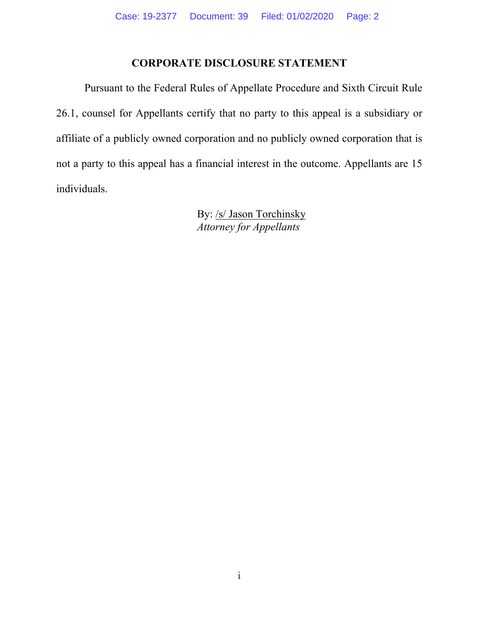### **CORPORATE DISCLOSURE STATEMENT**

Pursuant to the Federal Rules of Appellate Procedure and Sixth Circuit Rule 26.1, counsel for Appellants certify that no party to this appeal is a subsidiary or affiliate of a publicly owned corporation and no publicly owned corporation that is not a party to this appeal has a financial interest in the outcome. Appellants are 15 individuals.

> By: /s/ Jason Torchinsky *Attorney for Appellants*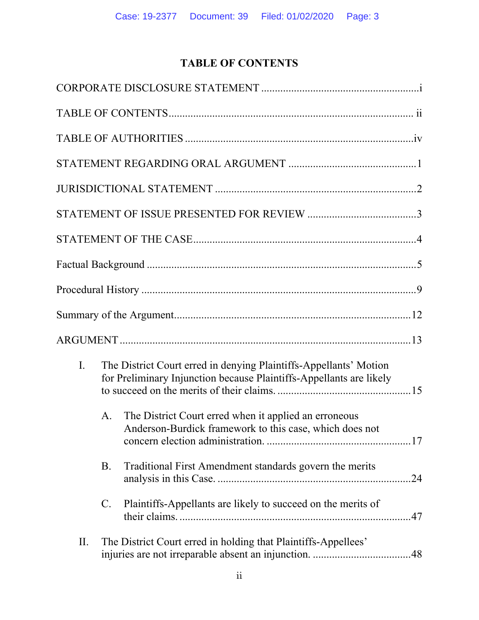# **TABLE OF CONTENTS**

| $\overline{I}$ . |                 | The District Court erred in denying Plaintiffs-Appellants' Motion<br>for Preliminary Injunction because Plaintiffs-Appellants are likely |  |
|------------------|-----------------|------------------------------------------------------------------------------------------------------------------------------------------|--|
|                  | А.              | The District Court erred when it applied an erroneous<br>Anderson-Burdick framework to this case, which does not                         |  |
|                  | <b>B.</b>       | Traditional First Amendment standards govern the merits                                                                                  |  |
|                  | $\mathcal{C}$ . | Plaintiffs-Appellants are likely to succeed on the merits of                                                                             |  |
| II.              |                 | The District Court erred in holding that Plaintiffs-Appellees'                                                                           |  |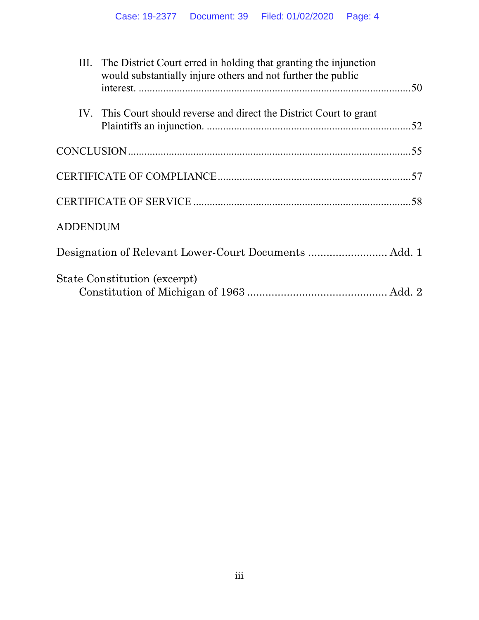|                 | III. The District Court erred in holding that granting the injunction<br>would substantially injure others and not further the public |  |
|-----------------|---------------------------------------------------------------------------------------------------------------------------------------|--|
|                 | IV. This Court should reverse and direct the District Court to grant                                                                  |  |
|                 |                                                                                                                                       |  |
|                 |                                                                                                                                       |  |
|                 |                                                                                                                                       |  |
| <b>ADDENDUM</b> |                                                                                                                                       |  |
|                 | Designation of Relevant Lower-Court Documents  Add. 1                                                                                 |  |
|                 | State Constitution (excerpt)                                                                                                          |  |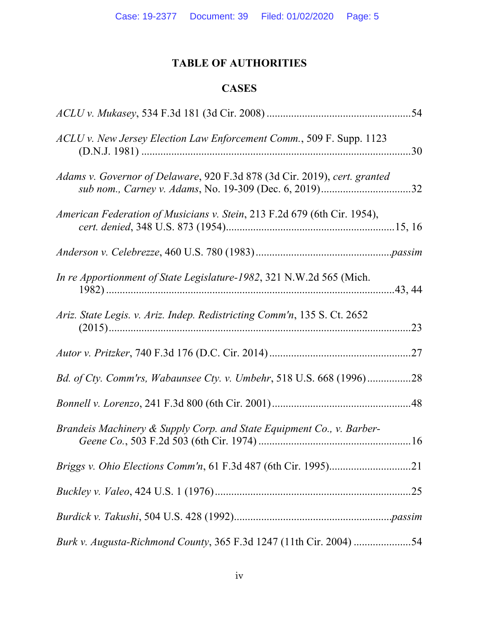# **TABLE OF AUTHORITIES**

## **CASES**

| ACLU v. New Jersey Election Law Enforcement Comm., 509 F. Supp. 1123      | 30  |
|---------------------------------------------------------------------------|-----|
| Adams v. Governor of Delaware, 920 F.3d 878 (3d Cir. 2019), cert. granted |     |
| American Federation of Musicians v. Stein, 213 F.2d 679 (6th Cir. 1954),  |     |
|                                                                           |     |
| In re Apportionment of State Legislature-1982, 321 N.W.2d 565 (Mich.      |     |
| Ariz. State Legis. v. Ariz. Indep. Redistricting Comm'n, 135 S. Ct. 2652  | .23 |
|                                                                           | .27 |
| Bd. of Cty. Comm'rs, Wabaunsee Cty. v. Umbehr, 518 U.S. 668 (1996)        | 28  |
|                                                                           |     |
| Brandeis Machinery & Supply Corp. and State Equipment Co., v. Barber-     |     |
|                                                                           |     |
|                                                                           |     |
|                                                                           |     |
| Burk v. Augusta-Richmond County, 365 F.3d 1247 (11th Cir. 2004) 54        |     |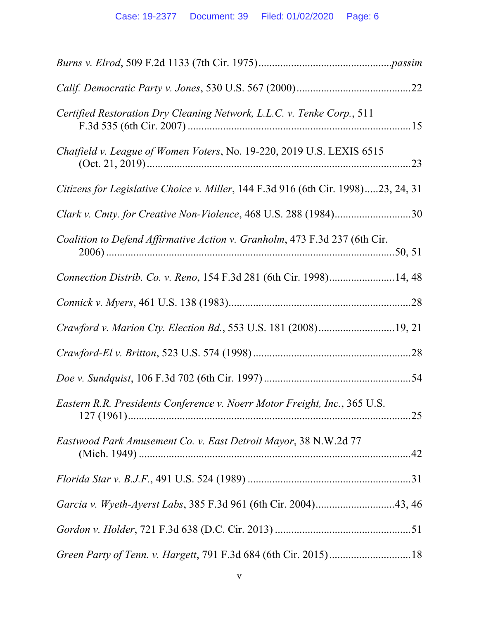| Certified Restoration Dry Cleaning Network, L.L.C. v. Tenke Corp., 511            |  |
|-----------------------------------------------------------------------------------|--|
| Chatfield v. League of Women Voters, No. 19-220, 2019 U.S. LEXIS 6515             |  |
| Citizens for Legislative Choice v. Miller, 144 F.3d 916 (6th Cir. 1998)23, 24, 31 |  |
| Clark v. Cmty. for Creative Non-Violence, 468 U.S. 288 (1984)30                   |  |
| Coalition to Defend Affirmative Action v. Granholm, 473 F.3d 237 (6th Cir.        |  |
| Connection Distrib. Co. v. Reno, 154 F.3d 281 (6th Cir. 1998)14, 48               |  |
|                                                                                   |  |
| Crawford v. Marion Cty. Election Bd., 553 U.S. 181 (2008)19, 21                   |  |
|                                                                                   |  |
|                                                                                   |  |
| Eastern R.R. Presidents Conference v. Noerr Motor Freight, Inc., 365 U.S.         |  |
| Eastwood Park Amusement Co. v. East Detroit Mayor, 38 N.W.2d 77                   |  |
|                                                                                   |  |
|                                                                                   |  |
|                                                                                   |  |
|                                                                                   |  |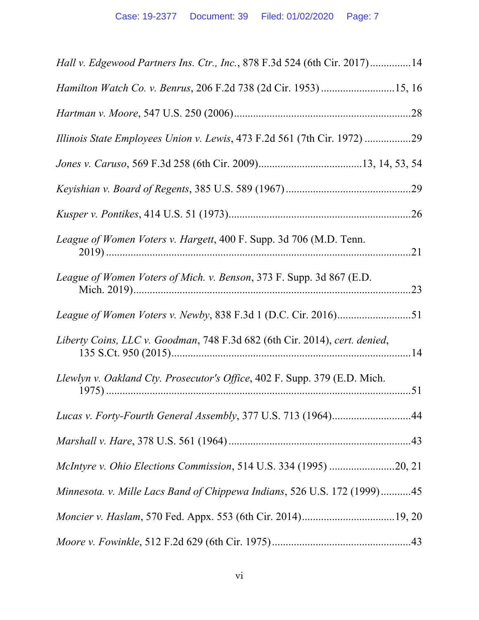| Hall v. Edgewood Partners Ins. Ctr., Inc., 878 F.3d 524 (6th Cir. 2017)14  |     |
|----------------------------------------------------------------------------|-----|
|                                                                            |     |
|                                                                            |     |
|                                                                            |     |
|                                                                            |     |
|                                                                            |     |
|                                                                            |     |
| League of Women Voters v. Hargett, 400 F. Supp. 3d 706 (M.D. Tenn.         |     |
| League of Women Voters of Mich. v. Benson, 373 F. Supp. 3d 867 (E.D.       | .23 |
|                                                                            |     |
| Liberty Coins, LLC v. Goodman, 748 F.3d 682 (6th Cir. 2014), cert. denied, |     |
| Llewlyn v. Oakland Cty. Prosecutor's Office, 402 F. Supp. 379 (E.D. Mich.  |     |
|                                                                            |     |
|                                                                            |     |
| McIntyre v. Ohio Elections Commission, 514 U.S. 334 (1995) 20, 21          |     |
| Minnesota. v. Mille Lacs Band of Chippewa Indians, 526 U.S. 172 (1999)45   |     |
|                                                                            |     |
|                                                                            |     |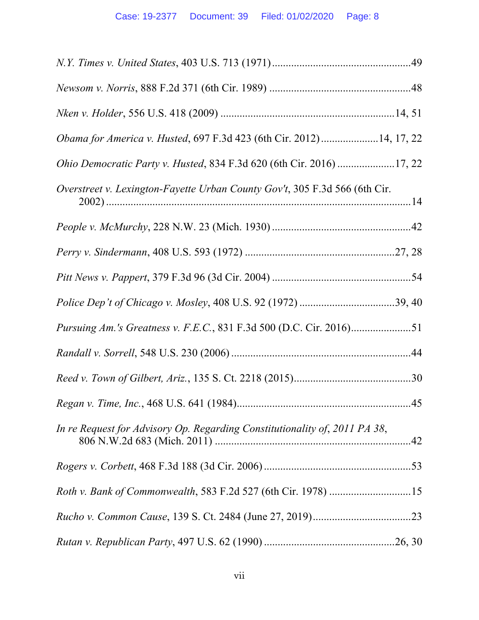| Obama for America v. Husted, 697 F.3d 423 (6th Cir. 2012) 14, 17, 22       |  |
|----------------------------------------------------------------------------|--|
| Ohio Democratic Party v. Husted, 834 F.3d 620 (6th Cir. 2016) 17, 22       |  |
| Overstreet v. Lexington-Fayette Urban County Gov't, 305 F.3d 566 (6th Cir. |  |
|                                                                            |  |
|                                                                            |  |
|                                                                            |  |
|                                                                            |  |
|                                                                            |  |
|                                                                            |  |
|                                                                            |  |
|                                                                            |  |
| In re Request for Advisory Op. Regarding Constitutionality of, 2011 PA 38, |  |
|                                                                            |  |
| Roth v. Bank of Commonwealth, 583 F.2d 527 (6th Cir. 1978) 15              |  |
|                                                                            |  |
|                                                                            |  |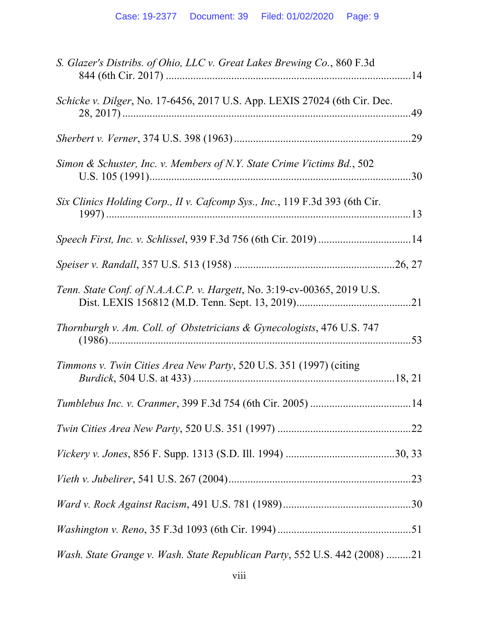| S. Glazer's Distribs. of Ohio, LLC v. Great Lakes Brewing Co., 860 F.3d     |     |
|-----------------------------------------------------------------------------|-----|
| Schicke v. Dilger, No. 17-6456, 2017 U.S. App. LEXIS 27024 (6th Cir. Dec.   | .49 |
|                                                                             |     |
| Simon & Schuster, Inc. v. Members of N.Y. State Crime Victims Bd., 502      |     |
| Six Clinics Holding Corp., II v. Cafcomp Sys., Inc., 119 F.3d 393 (6th Cir. |     |
|                                                                             |     |
|                                                                             |     |
| Tenn. State Conf. of N.A.A.C.P. v. Hargett, No. 3:19-cv-00365, 2019 U.S.    |     |
| Thornburgh v. Am. Coll. of Obstetricians & Gynecologists, 476 U.S. 747      |     |
| Timmons v. Twin Cities Area New Party, 520 U.S. 351 (1997) (citing          |     |
|                                                                             |     |
|                                                                             |     |
|                                                                             |     |
|                                                                             |     |
|                                                                             |     |
|                                                                             |     |
| Wash. State Grange v. Wash. State Republican Party, 552 U.S. 442 (2008) 21  |     |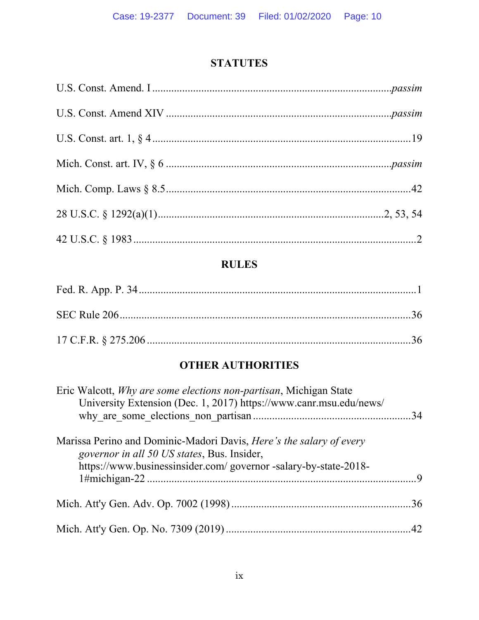# **STATUTES**

# **RULES**

# **OTHER AUTHORITIES**

| Eric Walcott, <i>Why are some elections non-partisan</i> , Michigan State<br>University Extension (Dec. 1, 2017) https://www.canr.msu.edu/news/                                               |  |
|-----------------------------------------------------------------------------------------------------------------------------------------------------------------------------------------------|--|
| Marissa Perino and Dominic-Madori Davis, <i>Here's the salary of every</i><br>governor in all 50 US states, Bus. Insider,<br>https://www.businessinsider.com/ governor -salary-by-state-2018- |  |
|                                                                                                                                                                                               |  |
|                                                                                                                                                                                               |  |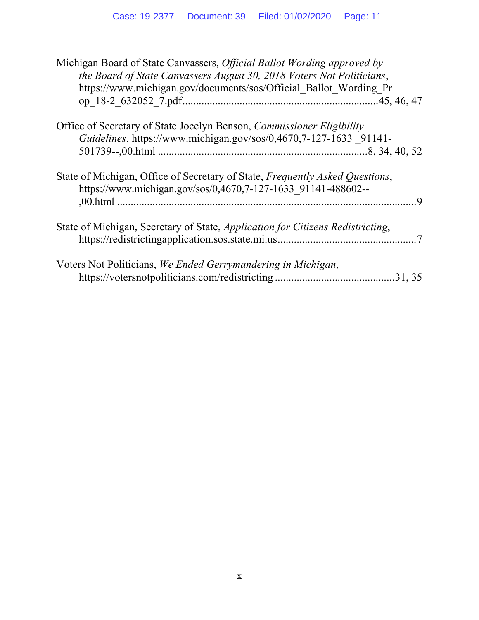| Michigan Board of State Canvassers, <i>Official Ballot Wording approved by</i><br>the Board of State Canvassers August 30, 2018 Voters Not Politicians,<br>https://www.michigan.gov/documents/sos/Official Ballot Wording Pr |
|------------------------------------------------------------------------------------------------------------------------------------------------------------------------------------------------------------------------------|
| Office of Secretary of State Jocelyn Benson, <i>Commissioner Eligibility</i>                                                                                                                                                 |
| Guidelines, https://www.michigan.gov/sos/0,4670,7-127-1633 91141-                                                                                                                                                            |
|                                                                                                                                                                                                                              |
| State of Michigan, Office of Secretary of State, Frequently Asked Questions,<br>https://www.michigan.gov/sos/0,4670,7-127-1633 91141-488602--                                                                                |
| State of Michigan, Secretary of State, <i>Application for Citizens Redistricting</i> ,                                                                                                                                       |
| Voters Not Politicians, We Ended Gerrymandering in Michigan,                                                                                                                                                                 |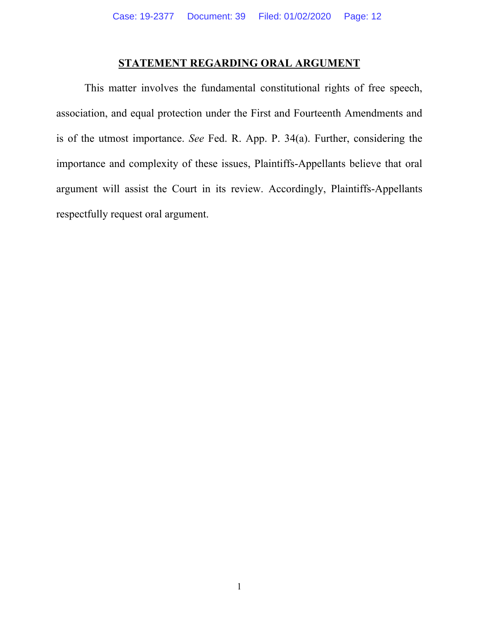### **STATEMENT REGARDING ORAL ARGUMENT**

 This matter involves the fundamental constitutional rights of free speech, association, and equal protection under the First and Fourteenth Amendments and is of the utmost importance. *See* Fed. R. App. P. 34(a). Further, considering the importance and complexity of these issues, Plaintiffs-Appellants believe that oral argument will assist the Court in its review. Accordingly, Plaintiffs-Appellants respectfully request oral argument.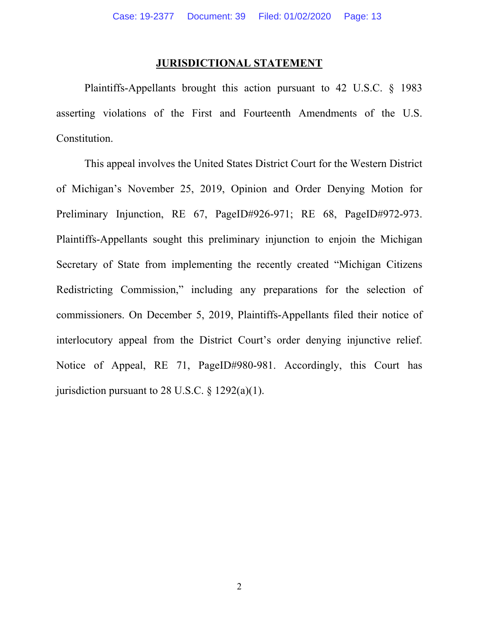#### **JURISDICTIONAL STATEMENT**

Plaintiffs-Appellants brought this action pursuant to 42 U.S.C. § 1983 asserting violations of the First and Fourteenth Amendments of the U.S. Constitution.

This appeal involves the United States District Court for the Western District of Michigan's November 25, 2019, Opinion and Order Denying Motion for Preliminary Injunction, RE 67, PageID#926-971; RE 68, PageID#972-973. Plaintiffs-Appellants sought this preliminary injunction to enjoin the Michigan Secretary of State from implementing the recently created "Michigan Citizens Redistricting Commission," including any preparations for the selection of commissioners. On December 5, 2019, Plaintiffs-Appellants filed their notice of interlocutory appeal from the District Court's order denying injunctive relief. Notice of Appeal, RE 71, PageID#980-981. Accordingly, this Court has jurisdiction pursuant to 28 U.S.C.  $\S$  1292(a)(1).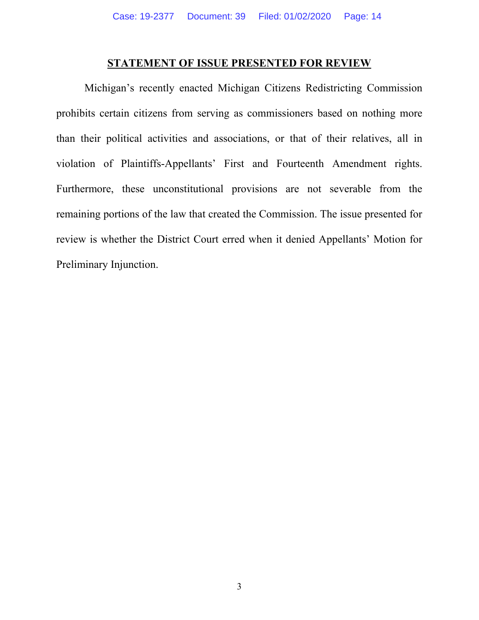#### **STATEMENT OF ISSUE PRESENTED FOR REVIEW**

Michigan's recently enacted Michigan Citizens Redistricting Commission prohibits certain citizens from serving as commissioners based on nothing more than their political activities and associations, or that of their relatives, all in violation of Plaintiffs-Appellants' First and Fourteenth Amendment rights. Furthermore, these unconstitutional provisions are not severable from the remaining portions of the law that created the Commission. The issue presented for review is whether the District Court erred when it denied Appellants' Motion for Preliminary Injunction.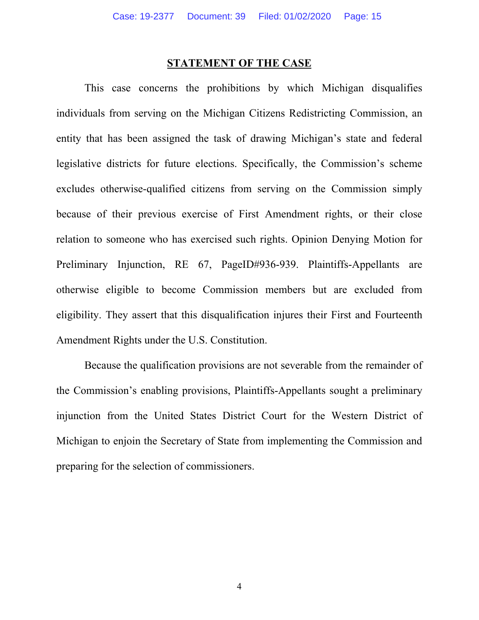#### **STATEMENT OF THE CASE**

This case concerns the prohibitions by which Michigan disqualifies individuals from serving on the Michigan Citizens Redistricting Commission, an entity that has been assigned the task of drawing Michigan's state and federal legislative districts for future elections. Specifically, the Commission's scheme excludes otherwise-qualified citizens from serving on the Commission simply because of their previous exercise of First Amendment rights, or their close relation to someone who has exercised such rights. Opinion Denying Motion for Preliminary Injunction, RE 67, PageID#936-939. Plaintiffs-Appellants are otherwise eligible to become Commission members but are excluded from eligibility. They assert that this disqualification injures their First and Fourteenth Amendment Rights under the U.S. Constitution.

Because the qualification provisions are not severable from the remainder of the Commission's enabling provisions, Plaintiffs-Appellants sought a preliminary injunction from the United States District Court for the Western District of Michigan to enjoin the Secretary of State from implementing the Commission and preparing for the selection of commissioners.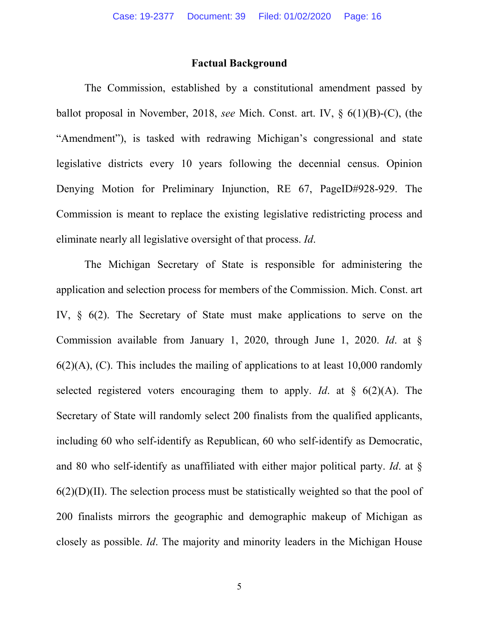#### **Factual Background**

The Commission, established by a constitutional amendment passed by ballot proposal in November, 2018, *see* Mich. Const. art. IV, § 6(1)(B)-(C), (the "Amendment"), is tasked with redrawing Michigan's congressional and state legislative districts every 10 years following the decennial census. Opinion Denying Motion for Preliminary Injunction, RE 67, PageID#928-929. The Commission is meant to replace the existing legislative redistricting process and eliminate nearly all legislative oversight of that process. *Id*.

The Michigan Secretary of State is responsible for administering the application and selection process for members of the Commission. Mich. Const. art IV, § 6(2). The Secretary of State must make applications to serve on the Commission available from January 1, 2020, through June 1, 2020. *Id*. at §  $6(2)(A)$ , (C). This includes the mailing of applications to at least 10,000 randomly selected registered voters encouraging them to apply. *Id*. at § 6(2)(A). The Secretary of State will randomly select 200 finalists from the qualified applicants, including 60 who self-identify as Republican, 60 who self-identify as Democratic, and 80 who self-identify as unaffiliated with either major political party. *Id*. at §  $6(2)(D)(II)$ . The selection process must be statistically weighted so that the pool of 200 finalists mirrors the geographic and demographic makeup of Michigan as closely as possible. *Id*. The majority and minority leaders in the Michigan House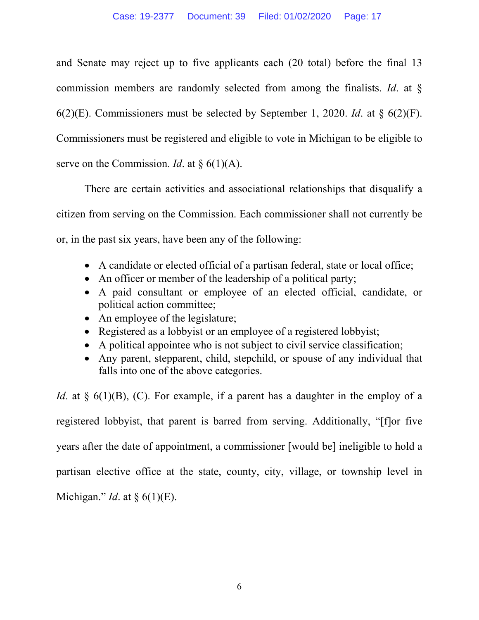and Senate may reject up to five applicants each (20 total) before the final 13 commission members are randomly selected from among the finalists. *Id*. at § 6(2)(E). Commissioners must be selected by September 1, 2020. *Id*. at § 6(2)(F). Commissioners must be registered and eligible to vote in Michigan to be eligible to serve on the Commission. *Id.* at § 6(1)(A).

There are certain activities and associational relationships that disqualify a citizen from serving on the Commission. Each commissioner shall not currently be or, in the past six years, have been any of the following:

- A candidate or elected official of a partisan federal, state or local office;
- An officer or member of the leadership of a political party;
- A paid consultant or employee of an elected official, candidate, or political action committee;
- An employee of the legislature;
- Registered as a lobbyist or an employee of a registered lobbyist;
- A political appointee who is not subject to civil service classification;
- Any parent, stepparent, child, stepchild, or spouse of any individual that falls into one of the above categories.

*Id*. at § 6(1)(B), (C). For example, if a parent has a daughter in the employ of a registered lobbyist, that parent is barred from serving. Additionally, "[f]or five years after the date of appointment, a commissioner [would be] ineligible to hold a partisan elective office at the state, county, city, village, or township level in Michigan." *Id*. at § 6(1)(E).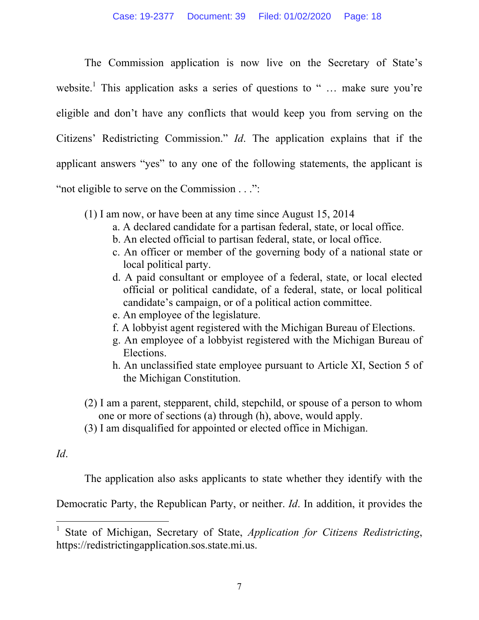The Commission application is now live on the Secretary of State's website.<sup>1</sup> This application asks a series of questions to " ... make sure you're eligible and don't have any conflicts that would keep you from serving on the Citizens' Redistricting Commission." *Id*. The application explains that if the applicant answers "yes" to any one of the following statements, the applicant is "not eligible to serve on the Commission . . .":

- (1) I am now, or have been at any time since August 15, 2014
	- a. A declared candidate for a partisan federal, state, or local office.
	- b. An elected official to partisan federal, state, or local office.
	- c. An officer or member of the governing body of a national state or local political party.
	- d. A paid consultant or employee of a federal, state, or local elected official or political candidate, of a federal, state, or local political candidate's campaign, or of a political action committee.
	- e. An employee of the legislature.
	- f. A lobbyist agent registered with the Michigan Bureau of Elections.
	- g. An employee of a lobbyist registered with the Michigan Bureau of Elections.
	- h. An unclassified state employee pursuant to Article XI, Section 5 of the Michigan Constitution.
- (2) I am a parent, stepparent, child, stepchild, or spouse of a person to whom one or more of sections (a) through (h), above, would apply.
- (3) I am disqualified for appointed or elected office in Michigan.

# *Id*.

 $\overline{a}$ 

The application also asks applicants to state whether they identify with the

Democratic Party, the Republican Party, or neither. *Id*. In addition, it provides the

<sup>1</sup> State of Michigan, Secretary of State, *Application for Citizens Redistricting*, https://redistrictingapplication.sos.state.mi.us.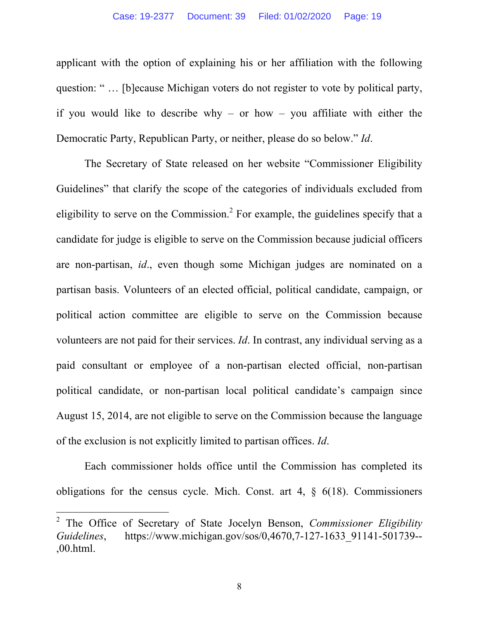applicant with the option of explaining his or her affiliation with the following question: " … [b]ecause Michigan voters do not register to vote by political party, if you would like to describe why – or how – you affiliate with either the Democratic Party, Republican Party, or neither, please do so below." *Id*.

The Secretary of State released on her website "Commissioner Eligibility Guidelines" that clarify the scope of the categories of individuals excluded from eligibility to serve on the Commission.<sup>2</sup> For example, the guidelines specify that a candidate for judge is eligible to serve on the Commission because judicial officers are non-partisan, *id*., even though some Michigan judges are nominated on a partisan basis. Volunteers of an elected official, political candidate, campaign, or political action committee are eligible to serve on the Commission because volunteers are not paid for their services. *Id*. In contrast, any individual serving as a paid consultant or employee of a non-partisan elected official, non-partisan political candidate, or non-partisan local political candidate's campaign since August 15, 2014, are not eligible to serve on the Commission because the language of the exclusion is not explicitly limited to partisan offices. *Id*.

 Each commissioner holds office until the Commission has completed its obligations for the census cycle. Mich. Const. art  $4, \S$  6(18). Commissioners

 $\overline{a}$ 

<sup>2</sup> The Office of Secretary of State Jocelyn Benson, *Commissioner Eligibility Guidelines*, https://www.michigan.gov/sos/0,4670,7-127-1633\_91141-501739-- ,00.html.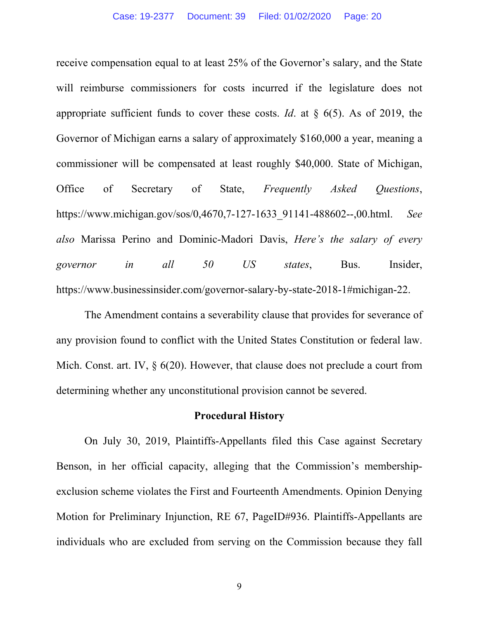receive compensation equal to at least 25% of the Governor's salary, and the State will reimburse commissioners for costs incurred if the legislature does not appropriate sufficient funds to cover these costs. *Id*. at § 6(5). As of 2019, the Governor of Michigan earns a salary of approximately \$160,000 a year, meaning a commissioner will be compensated at least roughly \$40,000. State of Michigan, Office of Secretary of State, *Frequently Asked Questions*, https://www.michigan.gov/sos/0,4670,7-127-1633\_91141-488602--,00.html. *See also* Marissa Perino and Dominic-Madori Davis, *Here's the salary of every governor in all 50 US states*, Bus. Insider, https://www.businessinsider.com/governor-salary-by-state-2018-1#michigan-22.

 The Amendment contains a severability clause that provides for severance of any provision found to conflict with the United States Constitution or federal law. Mich. Const. art. IV,  $\S$  6(20). However, that clause does not preclude a court from determining whether any unconstitutional provision cannot be severed.

#### **Procedural History**

 On July 30, 2019, Plaintiffs-Appellants filed this Case against Secretary Benson, in her official capacity, alleging that the Commission's membershipexclusion scheme violates the First and Fourteenth Amendments. Opinion Denying Motion for Preliminary Injunction, RE 67, PageID#936. Plaintiffs-Appellants are individuals who are excluded from serving on the Commission because they fall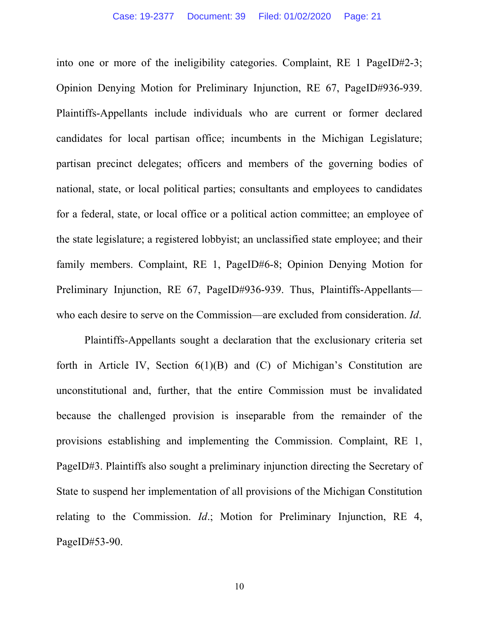into one or more of the ineligibility categories. Complaint, RE 1 PageID#2-3; Opinion Denying Motion for Preliminary Injunction, RE 67, PageID#936-939. Plaintiffs-Appellants include individuals who are current or former declared candidates for local partisan office; incumbents in the Michigan Legislature; partisan precinct delegates; officers and members of the governing bodies of national, state, or local political parties; consultants and employees to candidates for a federal, state, or local office or a political action committee; an employee of the state legislature; a registered lobbyist; an unclassified state employee; and their family members. Complaint, RE 1, PageID#6-8; Opinion Denying Motion for Preliminary Injunction, RE 67, PageID#936-939. Thus, Plaintiffs-Appellants who each desire to serve on the Commission—are excluded from consideration. *Id*.

Plaintiffs-Appellants sought a declaration that the exclusionary criteria set forth in Article IV, Section  $6(1)(B)$  and  $(C)$  of Michigan's Constitution are unconstitutional and, further, that the entire Commission must be invalidated because the challenged provision is inseparable from the remainder of the provisions establishing and implementing the Commission. Complaint, RE 1, PageID#3. Plaintiffs also sought a preliminary injunction directing the Secretary of State to suspend her implementation of all provisions of the Michigan Constitution relating to the Commission. *Id*.; Motion for Preliminary Injunction, RE 4, PageID#53-90.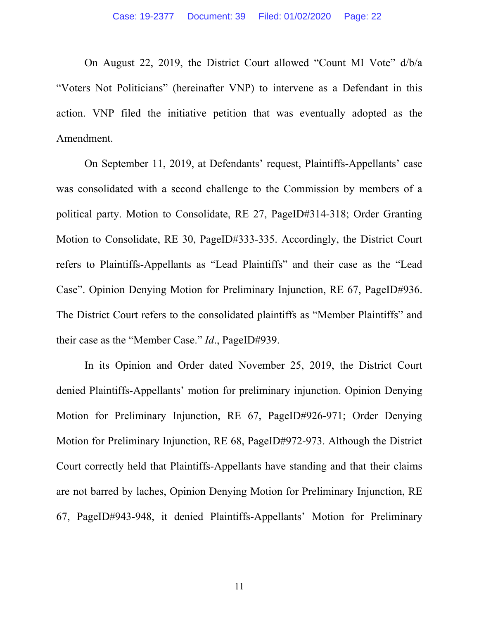On August 22, 2019, the District Court allowed "Count MI Vote" d/b/a "Voters Not Politicians" (hereinafter VNP) to intervene as a Defendant in this action. VNP filed the initiative petition that was eventually adopted as the Amendment.

 On September 11, 2019, at Defendants' request, Plaintiffs-Appellants' case was consolidated with a second challenge to the Commission by members of a political party. Motion to Consolidate, RE 27, PageID#314-318; Order Granting Motion to Consolidate, RE 30, PageID#333-335. Accordingly, the District Court refers to Plaintiffs-Appellants as "Lead Plaintiffs" and their case as the "Lead Case". Opinion Denying Motion for Preliminary Injunction, RE 67, PageID#936. The District Court refers to the consolidated plaintiffs as "Member Plaintiffs" and their case as the "Member Case." *Id*., PageID#939.

In its Opinion and Order dated November 25, 2019, the District Court denied Plaintiffs-Appellants' motion for preliminary injunction. Opinion Denying Motion for Preliminary Injunction, RE 67, PageID#926-971; Order Denying Motion for Preliminary Injunction, RE 68, PageID#972-973. Although the District Court correctly held that Plaintiffs-Appellants have standing and that their claims are not barred by laches, Opinion Denying Motion for Preliminary Injunction, RE 67, PageID#943-948, it denied Plaintiffs-Appellants' Motion for Preliminary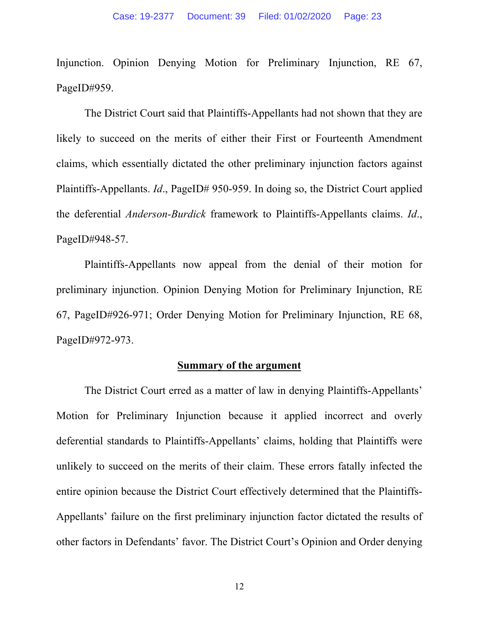Injunction. Opinion Denying Motion for Preliminary Injunction, RE 67, PageID#959.

The District Court said that Plaintiffs-Appellants had not shown that they are likely to succeed on the merits of either their First or Fourteenth Amendment claims, which essentially dictated the other preliminary injunction factors against Plaintiffs-Appellants. *Id.*, PageID# 950-959. In doing so, the District Court applied the deferential *Anderson-Burdick* framework to Plaintiffs-Appellants claims. *Id*., PageID#948-57.

 Plaintiffs-Appellants now appeal from the denial of their motion for preliminary injunction. Opinion Denying Motion for Preliminary Injunction, RE 67, PageID#926-971; Order Denying Motion for Preliminary Injunction, RE 68, PageID#972-973.

#### **Summary of the argument**

 The District Court erred as a matter of law in denying Plaintiffs-Appellants' Motion for Preliminary Injunction because it applied incorrect and overly deferential standards to Plaintiffs-Appellants' claims, holding that Plaintiffs were unlikely to succeed on the merits of their claim. These errors fatally infected the entire opinion because the District Court effectively determined that the Plaintiffs-Appellants' failure on the first preliminary injunction factor dictated the results of other factors in Defendants' favor. The District Court's Opinion and Order denying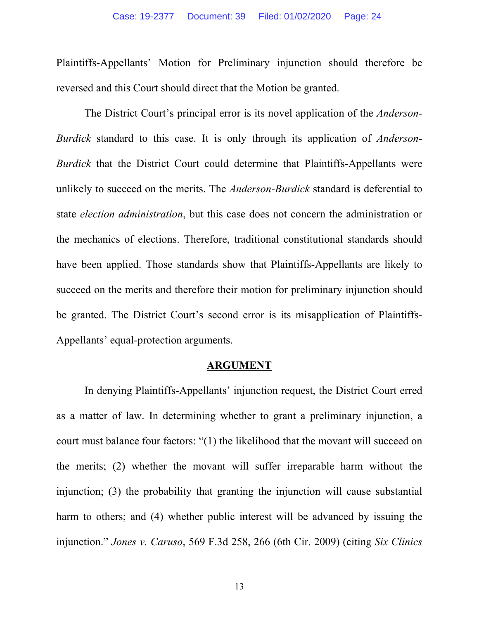Plaintiffs-Appellants' Motion for Preliminary injunction should therefore be reversed and this Court should direct that the Motion be granted.

 The District Court's principal error is its novel application of the *Anderson-Burdick* standard to this case. It is only through its application of *Anderson-Burdick* that the District Court could determine that Plaintiffs-Appellants were unlikely to succeed on the merits. The *Anderson-Burdick* standard is deferential to state *election administration*, but this case does not concern the administration or the mechanics of elections. Therefore, traditional constitutional standards should have been applied. Those standards show that Plaintiffs-Appellants are likely to succeed on the merits and therefore their motion for preliminary injunction should be granted. The District Court's second error is its misapplication of Plaintiffs-Appellants' equal-protection arguments.

#### **ARGUMENT**

In denying Plaintiffs-Appellants' injunction request, the District Court erred as a matter of law. In determining whether to grant a preliminary injunction, a court must balance four factors: "(1) the likelihood that the movant will succeed on the merits; (2) whether the movant will suffer irreparable harm without the injunction; (3) the probability that granting the injunction will cause substantial harm to others; and (4) whether public interest will be advanced by issuing the injunction." *Jones v. Caruso*, 569 F.3d 258, 266 (6th Cir. 2009) (citing *Six Clinics*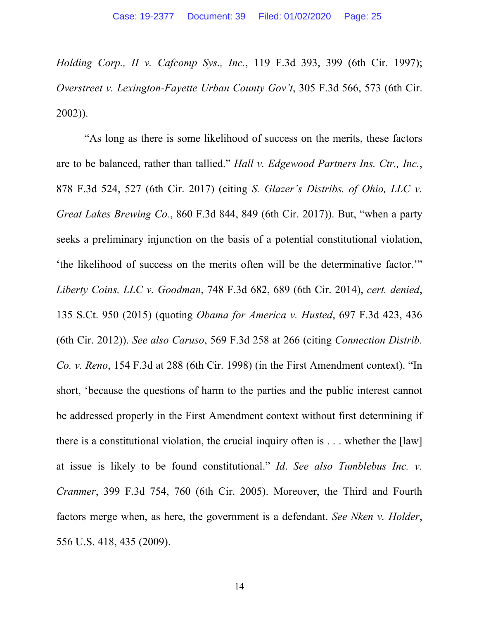*Holding Corp., II v. Cafcomp Sys., Inc.*, 119 F.3d 393, 399 (6th Cir. 1997); *Overstreet v. Lexington-Fayette Urban County Gov't*, 305 F.3d 566, 573 (6th Cir. 2002)).

"As long as there is some likelihood of success on the merits, these factors are to be balanced, rather than tallied." *Hall v. Edgewood Partners Ins. Ctr., Inc.*, 878 F.3d 524, 527 (6th Cir. 2017) (citing *S. Glazer's Distribs. of Ohio, LLC v. Great Lakes Brewing Co.*, 860 F.3d 844, 849 (6th Cir. 2017)). But, "when a party seeks a preliminary injunction on the basis of a potential constitutional violation, 'the likelihood of success on the merits often will be the determinative factor.'" *Liberty Coins, LLC v. Goodman*, 748 F.3d 682, 689 (6th Cir. 2014), *cert. denied*, 135 S.Ct. 950 (2015) (quoting *Obama for America v. Husted*, 697 F.3d 423, 436 (6th Cir. 2012)). *See also Caruso*, 569 F.3d 258 at 266 (citing *Connection Distrib. Co. v. Reno*, 154 F.3d at 288 (6th Cir. 1998) (in the First Amendment context). "In short, 'because the questions of harm to the parties and the public interest cannot be addressed properly in the First Amendment context without first determining if there is a constitutional violation, the crucial inquiry often is . . . whether the [law] at issue is likely to be found constitutional." *Id*. *See also Tumblebus Inc. v. Cranmer*, 399 F.3d 754, 760 (6th Cir. 2005). Moreover, the Third and Fourth factors merge when, as here, the government is a defendant. *See Nken v. Holder*, 556 U.S. 418, 435 (2009).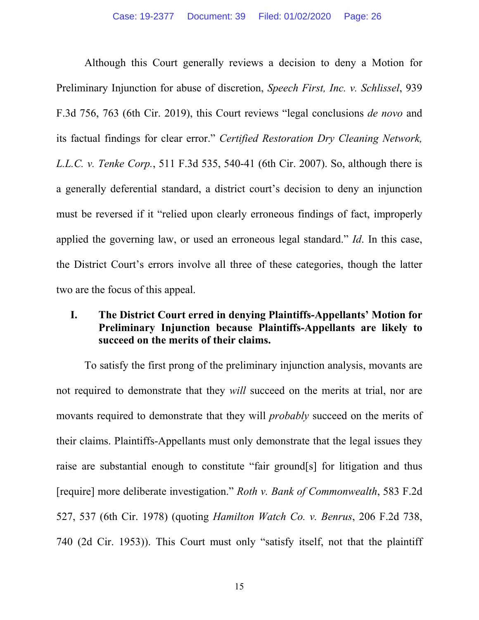Although this Court generally reviews a decision to deny a Motion for Preliminary Injunction for abuse of discretion, *Speech First, Inc. v. Schlissel*, 939 F.3d 756, 763 (6th Cir. 2019), this Court reviews "legal conclusions *de novo* and its factual findings for clear error." *Certified Restoration Dry Cleaning Network, L.L.C. v. Tenke Corp.*, 511 F.3d 535, 540-41 (6th Cir. 2007). So, although there is a generally deferential standard, a district court's decision to deny an injunction must be reversed if it "relied upon clearly erroneous findings of fact, improperly applied the governing law, or used an erroneous legal standard." *Id*. In this case, the District Court's errors involve all three of these categories, though the latter two are the focus of this appeal.

### **I. The District Court erred in denying Plaintiffs-Appellants' Motion for Preliminary Injunction because Plaintiffs-Appellants are likely to succeed on the merits of their claims.**

To satisfy the first prong of the preliminary injunction analysis, movants are not required to demonstrate that they *will* succeed on the merits at trial, nor are movants required to demonstrate that they will *probably* succeed on the merits of their claims. Plaintiffs-Appellants must only demonstrate that the legal issues they raise are substantial enough to constitute "fair ground[s] for litigation and thus [require] more deliberate investigation." *Roth v. Bank of Commonwealth*, 583 F.2d 527, 537 (6th Cir. 1978) (quoting *Hamilton Watch Co. v. Benrus*, 206 F.2d 738, 740 (2d Cir. 1953)). This Court must only "satisfy itself, not that the plaintiff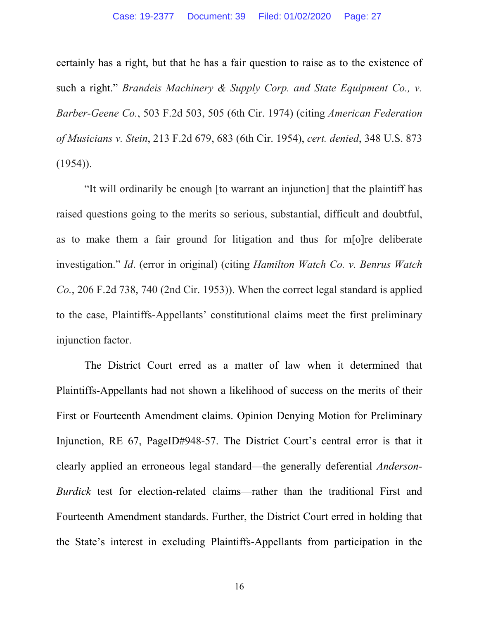certainly has a right, but that he has a fair question to raise as to the existence of such a right." *Brandeis Machinery & Supply Corp. and State Equipment Co., v. Barber-Geene Co.*, 503 F.2d 503, 505 (6th Cir. 1974) (citing *American Federation of Musicians v. Stein*, 213 F.2d 679, 683 (6th Cir. 1954), *cert. denied*, 348 U.S. 873  $(1954)$ ).

"It will ordinarily be enough [to warrant an injunction] that the plaintiff has raised questions going to the merits so serious, substantial, difficult and doubtful, as to make them a fair ground for litigation and thus for m[o]re deliberate investigation." *Id*. (error in original) (citing *Hamilton Watch Co. v. Benrus Watch Co.*, 206 F.2d 738, 740 (2nd Cir. 1953)). When the correct legal standard is applied to the case, Plaintiffs-Appellants' constitutional claims meet the first preliminary injunction factor.

The District Court erred as a matter of law when it determined that Plaintiffs-Appellants had not shown a likelihood of success on the merits of their First or Fourteenth Amendment claims. Opinion Denying Motion for Preliminary Injunction, RE 67, PageID#948-57. The District Court's central error is that it clearly applied an erroneous legal standard—the generally deferential *Anderson-Burdick* test for election-related claims—rather than the traditional First and Fourteenth Amendment standards. Further, the District Court erred in holding that the State's interest in excluding Plaintiffs-Appellants from participation in the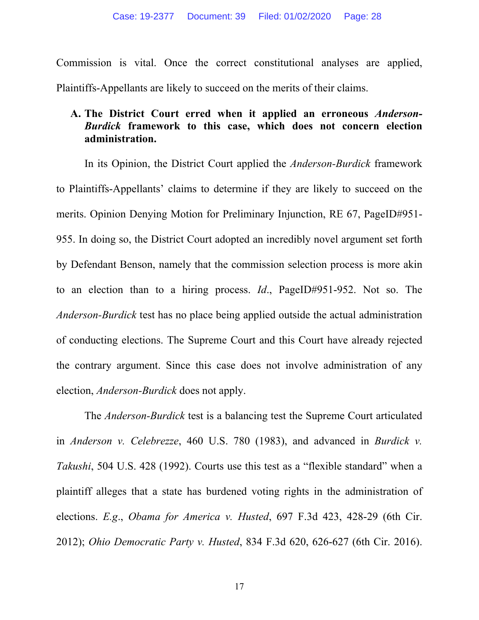Commission is vital. Once the correct constitutional analyses are applied, Plaintiffs-Appellants are likely to succeed on the merits of their claims.

### **A. The District Court erred when it applied an erroneous** *Anderson-Burdick* **framework to this case, which does not concern election administration.**

In its Opinion, the District Court applied the *Anderson-Burdick* framework to Plaintiffs-Appellants' claims to determine if they are likely to succeed on the merits. Opinion Denying Motion for Preliminary Injunction, RE 67, PageID#951- 955. In doing so, the District Court adopted an incredibly novel argument set forth by Defendant Benson, namely that the commission selection process is more akin to an election than to a hiring process. *Id*., PageID#951-952. Not so. The *Anderson-Burdick* test has no place being applied outside the actual administration of conducting elections. The Supreme Court and this Court have already rejected the contrary argument. Since this case does not involve administration of any election, *Anderson-Burdick* does not apply.

The *Anderson-Burdick* test is a balancing test the Supreme Court articulated in *Anderson v. Celebrezze*, 460 U.S. 780 (1983), and advanced in *Burdick v. Takushi*, 504 U.S. 428 (1992). Courts use this test as a "flexible standard" when a plaintiff alleges that a state has burdened voting rights in the administration of elections. *E.g*., *Obama for America v. Husted*, 697 F.3d 423, 428-29 (6th Cir. 2012); *Ohio Democratic Party v. Husted*, 834 F.3d 620, 626-627 (6th Cir. 2016).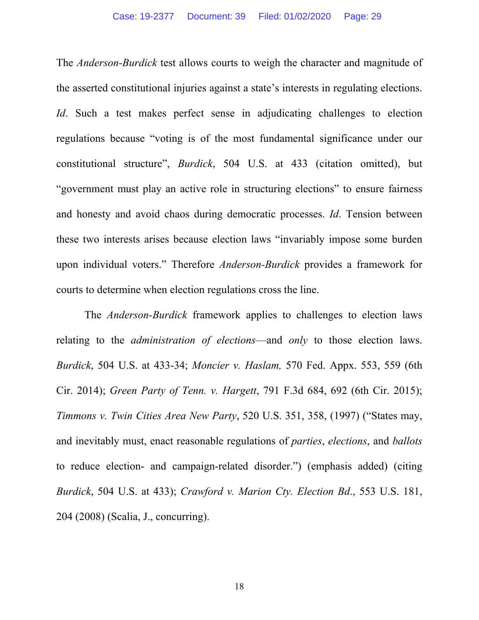The *Anderson-Burdick* test allows courts to weigh the character and magnitude of the asserted constitutional injuries against a state's interests in regulating elections. *Id*. Such a test makes perfect sense in adjudicating challenges to election regulations because "voting is of the most fundamental significance under our constitutional structure", *Burdick*, 504 U.S. at 433 (citation omitted), but "government must play an active role in structuring elections" to ensure fairness and honesty and avoid chaos during democratic processes. *Id*. Tension between these two interests arises because election laws "invariably impose some burden upon individual voters." Therefore *Anderson-Burdick* provides a framework for courts to determine when election regulations cross the line.

The *Anderson-Burdick* framework applies to challenges to election laws relating to the *administration of elections*—and *only* to those election laws. *Burdick*, 504 U.S. at 433-34; *Moncier v. Haslam,* 570 Fed. Appx. 553, 559 (6th Cir. 2014); *Green Party of Tenn. v. Hargett*, 791 F.3d 684, 692 (6th Cir. 2015); *Timmons v. Twin Cities Area New Party*, 520 U.S. 351, 358, (1997) ("States may, and inevitably must, enact reasonable regulations of *parties*, *elections*, and *ballots* to reduce election- and campaign-related disorder.") (emphasis added) (citing *Burdick*, 504 U.S. at 433); *Crawford v. Marion Cty. Election Bd*., 553 U.S. 181, 204 (2008) (Scalia, J., concurring).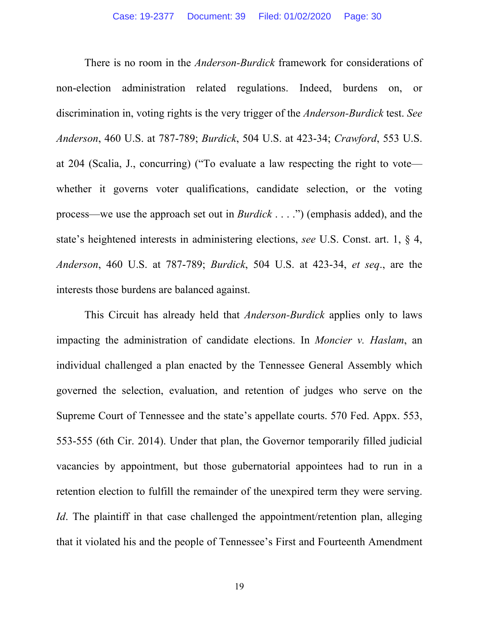There is no room in the *Anderson-Burdick* framework for considerations of non-election administration related regulations. Indeed, burdens on, or discrimination in, voting rights is the very trigger of the *Anderson-Burdick* test. *See Anderson*, 460 U.S. at 787-789; *Burdick*, 504 U.S. at 423-34; *Crawford*, 553 U.S. at 204 (Scalia, J., concurring) ("To evaluate a law respecting the right to vote whether it governs voter qualifications, candidate selection, or the voting process—we use the approach set out in *Burdick* . . . .") (emphasis added), and the state's heightened interests in administering elections, *see* U.S. Const. art. 1, § 4, *Anderson*, 460 U.S. at 787-789; *Burdick*, 504 U.S. at 423-34, *et seq*., are the interests those burdens are balanced against.

This Circuit has already held that *Anderson-Burdick* applies only to laws impacting the administration of candidate elections. In *Moncier v. Haslam*, an individual challenged a plan enacted by the Tennessee General Assembly which governed the selection, evaluation, and retention of judges who serve on the Supreme Court of Tennessee and the state's appellate courts. 570 Fed. Appx. 553, 553-555 (6th Cir. 2014). Under that plan, the Governor temporarily filled judicial vacancies by appointment, but those gubernatorial appointees had to run in a retention election to fulfill the remainder of the unexpired term they were serving. *Id*. The plaintiff in that case challenged the appointment/retention plan, alleging that it violated his and the people of Tennessee's First and Fourteenth Amendment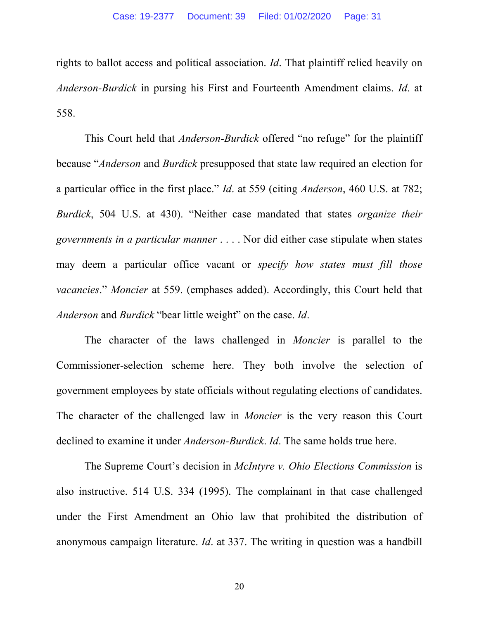rights to ballot access and political association. *Id*. That plaintiff relied heavily on *Anderson-Burdick* in pursing his First and Fourteenth Amendment claims. *Id*. at 558.

This Court held that *Anderson-Burdick* offered "no refuge" for the plaintiff because "*Anderson* and *Burdick* presupposed that state law required an election for a particular office in the first place." *Id*. at 559 (citing *Anderson*, 460 U.S. at 782; *Burdick*, 504 U.S. at 430). "Neither case mandated that states *organize their governments in a particular manner* . . . . Nor did either case stipulate when states may deem a particular office vacant or *specify how states must fill those vacancies*." *Moncier* at 559. (emphases added). Accordingly, this Court held that *Anderson* and *Burdick* "bear little weight" on the case. *Id*.

The character of the laws challenged in *Moncier* is parallel to the Commissioner-selection scheme here. They both involve the selection of government employees by state officials without regulating elections of candidates. The character of the challenged law in *Moncier* is the very reason this Court declined to examine it under *Anderson-Burdick*. *Id*. The same holds true here.

The Supreme Court's decision in *McIntyre v. Ohio Elections Commission* is also instructive. 514 U.S. 334 (1995). The complainant in that case challenged under the First Amendment an Ohio law that prohibited the distribution of anonymous campaign literature. *Id*. at 337. The writing in question was a handbill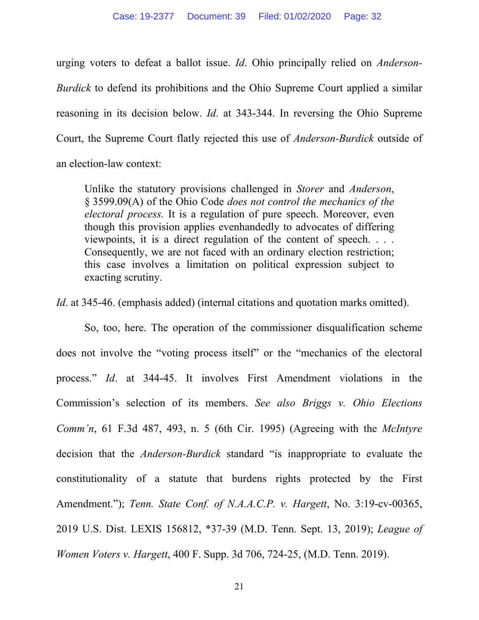urging voters to defeat a ballot issue. *Id*. Ohio principally relied on *Anderson-Burdick* to defend its prohibitions and the Ohio Supreme Court applied a similar reasoning in its decision below. *Id*. at 343-344. In reversing the Ohio Supreme Court, the Supreme Court flatly rejected this use of *Anderson-Burdick* outside of an election-law context:

Unlike the statutory provisions challenged in *Storer* and *Anderson*, § 3599.09(A) of the Ohio Code *does not control the mechanics of the electoral process.* It is a regulation of pure speech. Moreover, even though this provision applies evenhandedly to advocates of differing viewpoints, it is a direct regulation of the content of speech. . . . Consequently, we are not faced with an ordinary election restriction; this case involves a limitation on political expression subject to exacting scrutiny.

*Id*. at 345-46. (emphasis added) (internal citations and quotation marks omitted).

So, too, here. The operation of the commissioner disqualification scheme does not involve the "voting process itself" or the "mechanics of the electoral process." *Id*. at 344-45. It involves First Amendment violations in the Commission's selection of its members. *See also Briggs v. Ohio Elections Comm'n*, 61 F.3d 487, 493, n. 5 (6th Cir. 1995) (Agreeing with the *McIntyre* decision that the *Anderson-Burdick* standard "is inappropriate to evaluate the constitutionality of a statute that burdens rights protected by the First Amendment."); *Tenn. State Conf. of N.A.A.C.P. v. Hargett*, No. 3:19-cv-00365, 2019 U.S. Dist. LEXIS 156812, \*37-39 (M.D. Tenn. Sept. 13, 2019); *League of Women Voters v. Hargett*, 400 F. Supp. 3d 706, 724-25, (M.D. Tenn. 2019).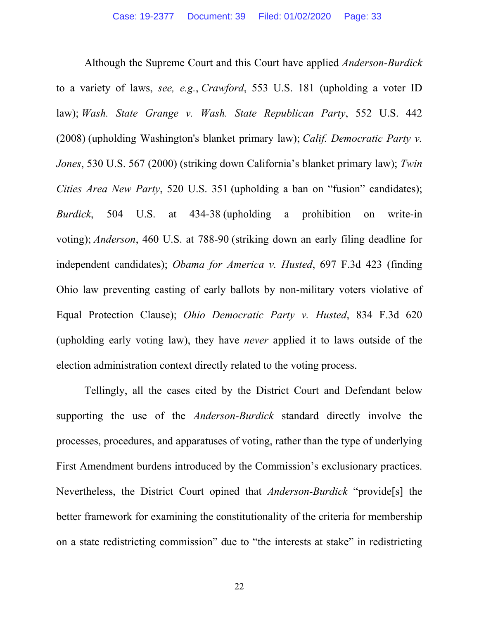Although the Supreme Court and this Court have applied *Anderson-Burdick* to a variety of laws, *see, e.g.*, *Crawford*, 553 U.S. 181 (upholding a voter ID law); *Wash. State Grange v. Wash. State Republican Party*, 552 U.S. 442 (2008) (upholding Washington's blanket primary law); *Calif. Democratic Party v. Jones*, 530 U.S. 567 (2000) (striking down California's blanket primary law); *Twin Cities Area New Party*, 520 U.S. 351 (upholding a ban on "fusion" candidates); *Burdick*, 504 U.S. at 434-38 (upholding a prohibition on write-in voting); *Anderson*, 460 U.S. at 788-90 (striking down an early filing deadline for independent candidates); *Obama for America v. Husted*, 697 F.3d 423 (finding Ohio law preventing casting of early ballots by non-military voters violative of Equal Protection Clause); *Ohio Democratic Party v. Husted*, 834 F.3d 620 (upholding early voting law), they have *never* applied it to laws outside of the election administration context directly related to the voting process.

Tellingly, all the cases cited by the District Court and Defendant below supporting the use of the *Anderson-Burdick* standard directly involve the processes, procedures, and apparatuses of voting, rather than the type of underlying First Amendment burdens introduced by the Commission's exclusionary practices. Nevertheless, the District Court opined that *Anderson-Burdick* "provide[s] the better framework for examining the constitutionality of the criteria for membership on a state redistricting commission" due to "the interests at stake" in redistricting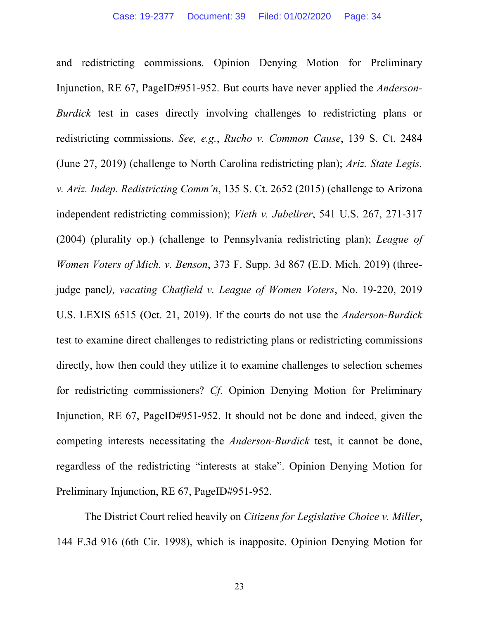and redistricting commissions. Opinion Denying Motion for Preliminary Injunction, RE 67, PageID#951-952. But courts have never applied the *Anderson-Burdick* test in cases directly involving challenges to redistricting plans or redistricting commissions. *See, e.g.*, *Rucho v. Common Cause*, 139 S. Ct. 2484 (June 27, 2019) (challenge to North Carolina redistricting plan); *Ariz. State Legis. v. Ariz. Indep. Redistricting Comm'n*, 135 S. Ct. 2652 (2015) (challenge to Arizona independent redistricting commission); *Vieth v. Jubelirer*, 541 U.S. 267, 271-317 (2004) (plurality op.) (challenge to Pennsylvania redistricting plan); *League of Women Voters of Mich. v. Benson*, 373 F. Supp. 3d 867 (E.D. Mich. 2019) (threejudge panel*), vacating Chatfield v. League of Women Voters*, No. 19-220, 2019 U.S. LEXIS 6515 (Oct. 21, 2019). If the courts do not use the *Anderson-Burdick* test to examine direct challenges to redistricting plans or redistricting commissions directly, how then could they utilize it to examine challenges to selection schemes for redistricting commissioners? *Cf*. Opinion Denying Motion for Preliminary Injunction, RE 67, PageID#951-952. It should not be done and indeed, given the competing interests necessitating the *Anderson-Burdick* test, it cannot be done, regardless of the redistricting "interests at stake". Opinion Denying Motion for Preliminary Injunction, RE 67, PageID#951-952.

The District Court relied heavily on *Citizens for Legislative Choice v. Miller*, 144 F.3d 916 (6th Cir. 1998), which is inapposite. Opinion Denying Motion for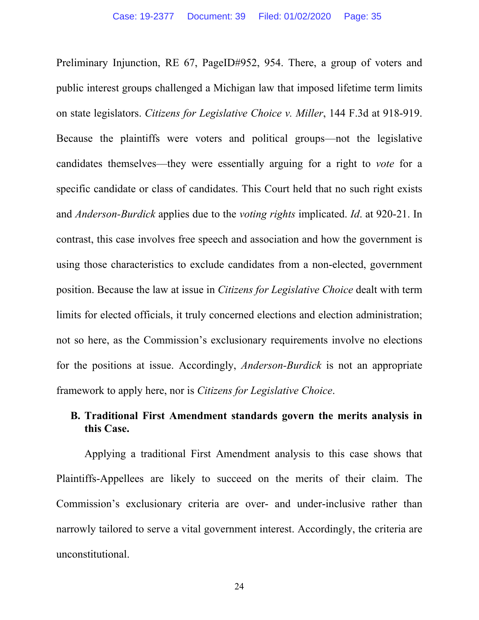Preliminary Injunction, RE 67, PageID#952, 954. There, a group of voters and public interest groups challenged a Michigan law that imposed lifetime term limits on state legislators. *Citizens for Legislative Choice v. Miller*, 144 F.3d at 918-919. Because the plaintiffs were voters and political groups—not the legislative candidates themselves—they were essentially arguing for a right to *vote* for a specific candidate or class of candidates. This Court held that no such right exists and *Anderson-Burdick* applies due to the *voting rights* implicated. *Id*. at 920-21. In contrast, this case involves free speech and association and how the government is using those characteristics to exclude candidates from a non-elected, government position. Because the law at issue in *Citizens for Legislative Choice* dealt with term limits for elected officials, it truly concerned elections and election administration; not so here, as the Commission's exclusionary requirements involve no elections for the positions at issue. Accordingly, *Anderson-Burdick* is not an appropriate framework to apply here, nor is *Citizens for Legislative Choice*.

## **B. Traditional First Amendment standards govern the merits analysis in this Case.**

Applying a traditional First Amendment analysis to this case shows that Plaintiffs-Appellees are likely to succeed on the merits of their claim. The Commission's exclusionary criteria are over- and under-inclusive rather than narrowly tailored to serve a vital government interest. Accordingly, the criteria are unconstitutional.

24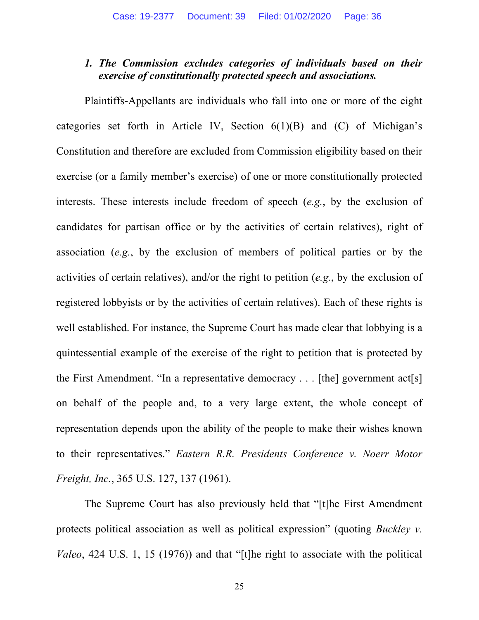### *1. The Commission excludes categories of individuals based on their exercise of constitutionally protected speech and associations.*

Plaintiffs-Appellants are individuals who fall into one or more of the eight categories set forth in Article IV, Section  $6(1)(B)$  and  $(C)$  of Michigan's Constitution and therefore are excluded from Commission eligibility based on their exercise (or a family member's exercise) of one or more constitutionally protected interests. These interests include freedom of speech (*e.g.*, by the exclusion of candidates for partisan office or by the activities of certain relatives), right of association (*e.g.*, by the exclusion of members of political parties or by the activities of certain relatives), and/or the right to petition (*e.g.*, by the exclusion of registered lobbyists or by the activities of certain relatives). Each of these rights is well established. For instance, the Supreme Court has made clear that lobbying is a quintessential example of the exercise of the right to petition that is protected by the First Amendment. "In a representative democracy . . . [the] government act[s] on behalf of the people and, to a very large extent, the whole concept of representation depends upon the ability of the people to make their wishes known to their representatives." *Eastern R.R. Presidents Conference v. Noerr Motor Freight, Inc.*, 365 U.S. 127, 137 (1961).

The Supreme Court has also previously held that "[t]he First Amendment protects political association as well as political expression" (quoting *Buckley v. Valeo*, 424 U.S. 1, 15 (1976)) and that "[t]he right to associate with the political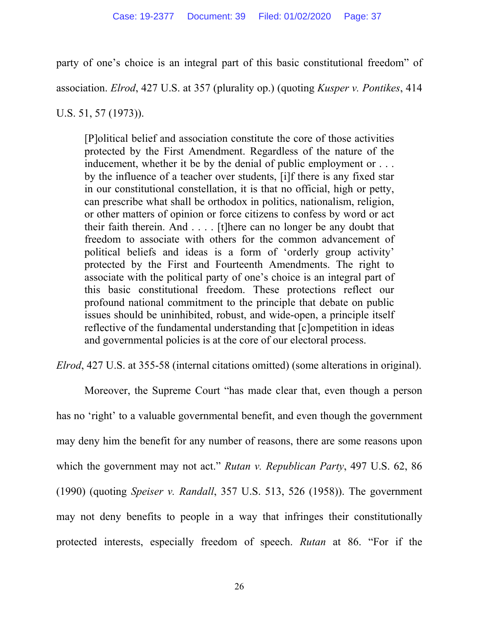party of one's choice is an integral part of this basic constitutional freedom" of

association. *Elrod*, 427 U.S. at 357 (plurality op.) (quoting *Kusper v. Pontikes*, 414

U.S. 51, 57 (1973)).

[P]olitical belief and association constitute the core of those activities protected by the First Amendment. Regardless of the nature of the inducement, whether it be by the denial of public employment or . . . by the influence of a teacher over students, [i]f there is any fixed star in our constitutional constellation, it is that no official, high or petty, can prescribe what shall be orthodox in politics, nationalism, religion, or other matters of opinion or force citizens to confess by word or act their faith therein. And . . . . [t]here can no longer be any doubt that freedom to associate with others for the common advancement of political beliefs and ideas is a form of 'orderly group activity' protected by the First and Fourteenth Amendments. The right to associate with the political party of one's choice is an integral part of this basic constitutional freedom. These protections reflect our profound national commitment to the principle that debate on public issues should be uninhibited, robust, and wide-open, a principle itself reflective of the fundamental understanding that [c]ompetition in ideas and governmental policies is at the core of our electoral process.

*Elrod*, 427 U.S. at 355-58 (internal citations omitted) (some alterations in original).

Moreover, the Supreme Court "has made clear that, even though a person has no 'right' to a valuable governmental benefit, and even though the government may deny him the benefit for any number of reasons, there are some reasons upon which the government may not act." *Rutan v. Republican Party*, 497 U.S. 62, 86 (1990) (quoting *Speiser v. Randall*, 357 U.S. 513, 526 (1958)). The government may not deny benefits to people in a way that infringes their constitutionally protected interests, especially freedom of speech. *Rutan* at 86. "For if the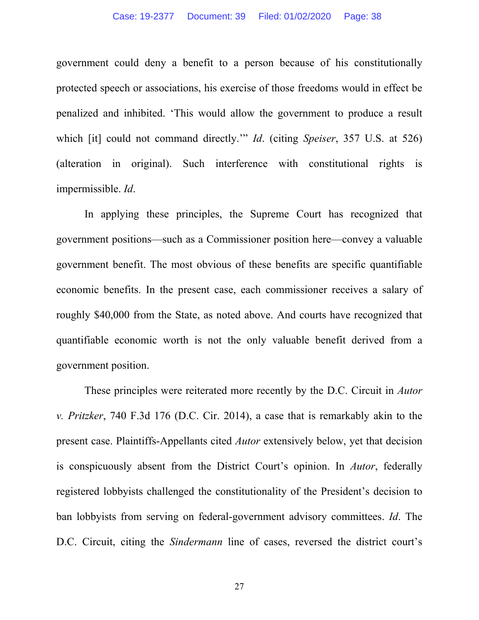government could deny a benefit to a person because of his constitutionally protected speech or associations, his exercise of those freedoms would in effect be penalized and inhibited. 'This would allow the government to produce a result which [it] could not command directly.'" *Id*. (citing *Speiser*, 357 U.S. at 526) (alteration in original). Such interference with constitutional rights is impermissible. *Id*.

In applying these principles, the Supreme Court has recognized that government positions—such as a Commissioner position here—convey a valuable government benefit. The most obvious of these benefits are specific quantifiable economic benefits. In the present case, each commissioner receives a salary of roughly \$40,000 from the State, as noted above. And courts have recognized that quantifiable economic worth is not the only valuable benefit derived from a government position.

These principles were reiterated more recently by the D.C. Circuit in *Autor v. Pritzker*, 740 F.3d 176 (D.C. Cir. 2014), a case that is remarkably akin to the present case. Plaintiffs-Appellants cited *Autor* extensively below, yet that decision is conspicuously absent from the District Court's opinion. In *Autor*, federally registered lobbyists challenged the constitutionality of the President's decision to ban lobbyists from serving on federal-government advisory committees. *Id*. The D.C. Circuit, citing the *Sindermann* line of cases, reversed the district court's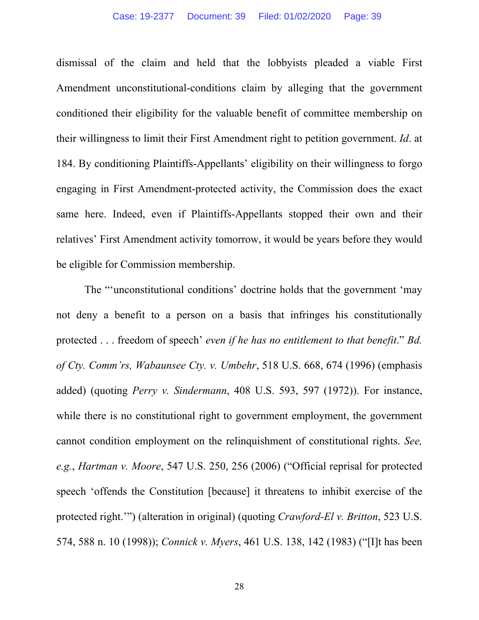dismissal of the claim and held that the lobbyists pleaded a viable First Amendment unconstitutional-conditions claim by alleging that the government conditioned their eligibility for the valuable benefit of committee membership on their willingness to limit their First Amendment right to petition government. *Id*. at 184. By conditioning Plaintiffs-Appellants' eligibility on their willingness to forgo engaging in First Amendment-protected activity, the Commission does the exact same here. Indeed, even if Plaintiffs-Appellants stopped their own and their relatives' First Amendment activity tomorrow, it would be years before they would be eligible for Commission membership.

The "'unconstitutional conditions' doctrine holds that the government 'may not deny a benefit to a person on a basis that infringes his constitutionally protected . . . freedom of speech' *even if he has no entitlement to that benefit*." *Bd. of Cty. Comm'rs, Wabaunsee Cty. v. Umbehr*, 518 U.S. 668, 674 (1996) (emphasis added) (quoting *Perry v. Sindermann*, 408 U.S. 593, 597 (1972)). For instance, while there is no constitutional right to government employment, the government cannot condition employment on the relinquishment of constitutional rights. *See, e.g.*, *Hartman v. Moore*, 547 U.S. 250, 256 (2006) ("Official reprisal for protected speech 'offends the Constitution [because] it threatens to inhibit exercise of the protected right.'") (alteration in original) (quoting *Crawford-El v. Britton*, 523 U.S. 574, 588 n. 10 (1998)); *Connick v. Myers*, 461 U.S. 138, 142 (1983) ("[I]t has been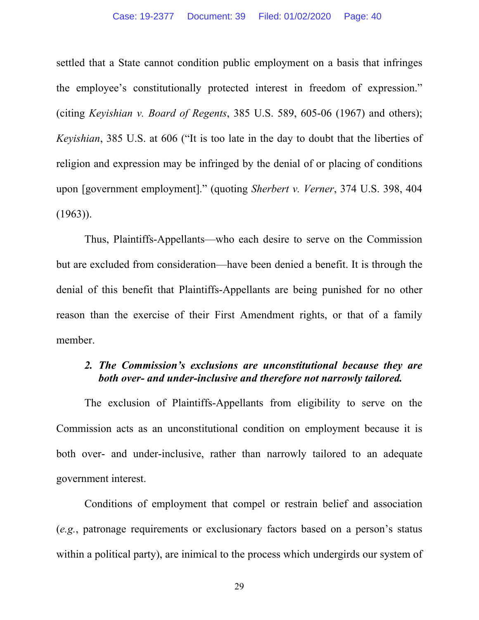settled that a State cannot condition public employment on a basis that infringes the employee's constitutionally protected interest in freedom of expression." (citing *Keyishian v. Board of Regents*, 385 U.S. 589, 605-06 (1967) and others); *Keyishian*, 385 U.S. at 606 ("It is too late in the day to doubt that the liberties of religion and expression may be infringed by the denial of or placing of conditions upon [government employment]." (quoting *Sherbert v. Verner*, 374 U.S. 398, 404  $(1963)$ ).

Thus, Plaintiffs-Appellants—who each desire to serve on the Commission but are excluded from consideration—have been denied a benefit. It is through the denial of this benefit that Plaintiffs-Appellants are being punished for no other reason than the exercise of their First Amendment rights, or that of a family member.

#### *2. The Commission's exclusions are unconstitutional because they are both over- and under-inclusive and therefore not narrowly tailored.*

The exclusion of Plaintiffs-Appellants from eligibility to serve on the Commission acts as an unconstitutional condition on employment because it is both over- and under-inclusive, rather than narrowly tailored to an adequate government interest.

Conditions of employment that compel or restrain belief and association (*e.g.*, patronage requirements or exclusionary factors based on a person's status within a political party), are inimical to the process which undergirds our system of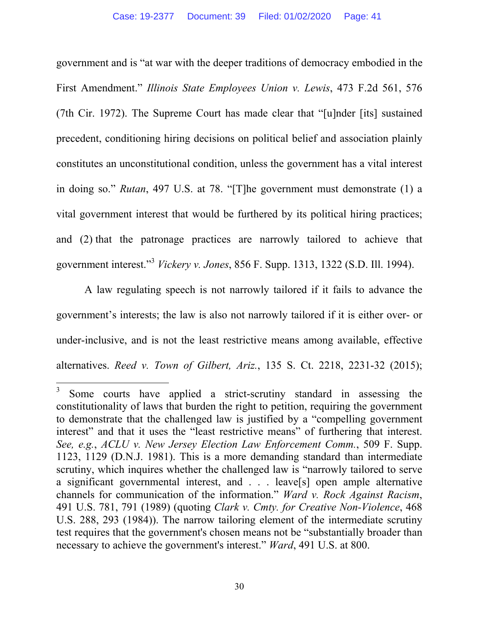government and is "at war with the deeper traditions of democracy embodied in the First Amendment." *Illinois State Employees Union v. Lewis*, 473 F.2d 561, 576 (7th Cir. 1972). The Supreme Court has made clear that "[u]nder [its] sustained precedent, conditioning hiring decisions on political belief and association plainly constitutes an unconstitutional condition, unless the government has a vital interest in doing so." *Rutan*, 497 U.S. at 78. "[T]he government must demonstrate (1) a vital government interest that would be furthered by its political hiring practices; and (2) that the patronage practices are narrowly tailored to achieve that government interest."<sup>3</sup> *Vickery v. Jones*, 856 F. Supp. 1313, 1322 (S.D. Ill. 1994).

A law regulating speech is not narrowly tailored if it fails to advance the government's interests; the law is also not narrowly tailored if it is either over- or under-inclusive, and is not the least restrictive means among available, effective alternatives. *Reed v. Town of Gilbert, Ariz.*, 135 S. Ct. 2218, 2231-32 (2015);

<sup>3</sup> Some courts have applied a strict-scrutiny standard in assessing the constitutionality of laws that burden the right to petition, requiring the government to demonstrate that the challenged law is justified by a "compelling government interest" and that it uses the "least restrictive means" of furthering that interest. *See, e.g.*, *ACLU v. New Jersey Election Law Enforcement Comm.*, 509 F. Supp. 1123, 1129 (D.N.J. 1981). This is a more demanding standard than intermediate scrutiny, which inquires whether the challenged law is "narrowly tailored to serve a significant governmental interest, and . . . leave[s] open ample alternative channels for communication of the information." *Ward v. Rock Against Racism*, 491 U.S. 781, 791 (1989) (quoting *Clark v. Cmty. for Creative Non-Violence*, 468 U.S. 288, 293 (1984)). The narrow tailoring element of the intermediate scrutiny test requires that the government's chosen means not be "substantially broader than necessary to achieve the government's interest." *Ward*, 491 U.S. at 800.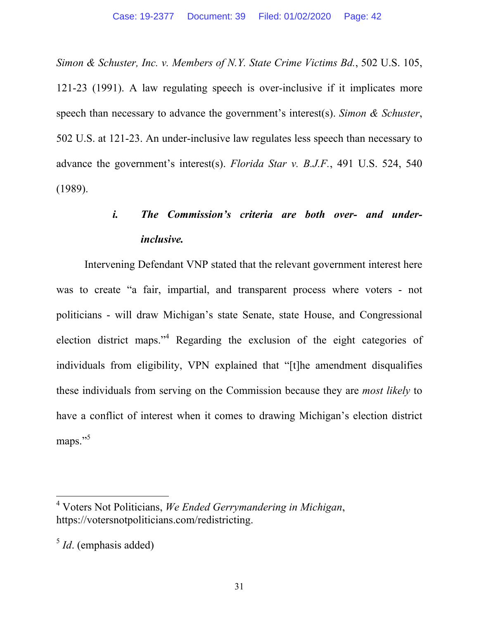*Simon & Schuster, Inc. v. Members of N.Y. State Crime Victims Bd.*, 502 U.S. 105, 121-23 (1991). A law regulating speech is over-inclusive if it implicates more speech than necessary to advance the government's interest(s). *Simon & Schuster*, 502 U.S. at 121-23. An under-inclusive law regulates less speech than necessary to advance the government's interest(s). *Florida Star v. B.J.F.*, 491 U.S. 524, 540 (1989).

# *i. The Commission's criteria are both over- and underinclusive.*

Intervening Defendant VNP stated that the relevant government interest here was to create "a fair, impartial, and transparent process where voters - not politicians - will draw Michigan's state Senate, state House, and Congressional election district maps."<sup>4</sup> Regarding the exclusion of the eight categories of individuals from eligibility, VPN explained that "[t]he amendment disqualifies these individuals from serving on the Commission because they are *most likely* to have a conflict of interest when it comes to drawing Michigan's election district maps."<sup>5</sup>

<sup>4</sup> Voters Not Politicians, *We Ended Gerrymandering in Michigan*, https://votersnotpoliticians.com/redistricting.

<sup>5</sup> *Id*. (emphasis added)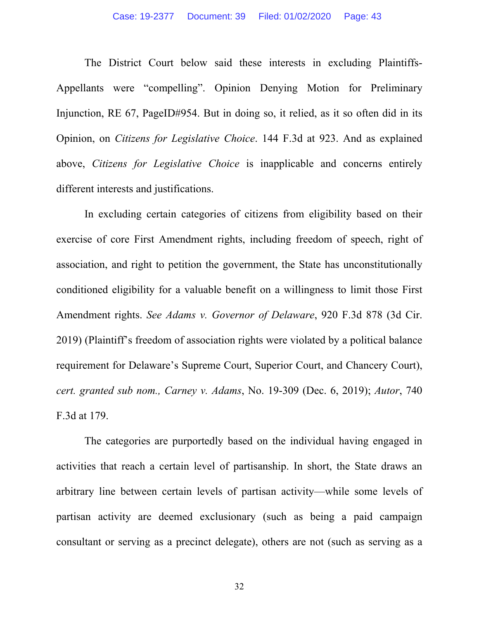The District Court below said these interests in excluding Plaintiffs-Appellants were "compelling". Opinion Denying Motion for Preliminary Injunction, RE 67, PageID#954. But in doing so, it relied, as it so often did in its Opinion, on *Citizens for Legislative Choice*. 144 F.3d at 923. And as explained above, *Citizens for Legislative Choice* is inapplicable and concerns entirely different interests and justifications.

In excluding certain categories of citizens from eligibility based on their exercise of core First Amendment rights, including freedom of speech, right of association, and right to petition the government, the State has unconstitutionally conditioned eligibility for a valuable benefit on a willingness to limit those First Amendment rights. *See Adams v. Governor of Delaware*, 920 F.3d 878 (3d Cir. 2019) (Plaintiff's freedom of association rights were violated by a political balance requirement for Delaware's Supreme Court, Superior Court, and Chancery Court), *cert. granted sub nom., Carney v. Adams*, No. 19-309 (Dec. 6, 2019); *Autor*, 740 F.3d at 179.

The categories are purportedly based on the individual having engaged in activities that reach a certain level of partisanship. In short, the State draws an arbitrary line between certain levels of partisan activity—while some levels of partisan activity are deemed exclusionary (such as being a paid campaign consultant or serving as a precinct delegate), others are not (such as serving as a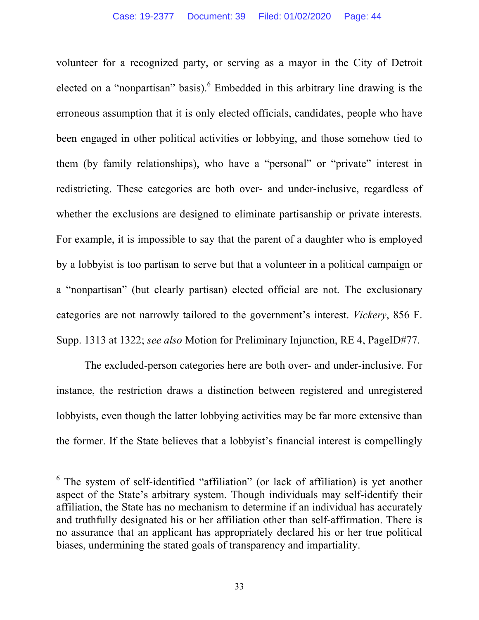volunteer for a recognized party, or serving as a mayor in the City of Detroit elected on a "nonpartisan" basis). <sup>6</sup> Embedded in this arbitrary line drawing is the erroneous assumption that it is only elected officials, candidates, people who have been engaged in other political activities or lobbying, and those somehow tied to them (by family relationships), who have a "personal" or "private" interest in redistricting. These categories are both over- and under-inclusive, regardless of whether the exclusions are designed to eliminate partisanship or private interests. For example, it is impossible to say that the parent of a daughter who is employed by a lobbyist is too partisan to serve but that a volunteer in a political campaign or a "nonpartisan" (but clearly partisan) elected official are not. The exclusionary categories are not narrowly tailored to the government's interest. *Vickery*, 856 F. Supp. 1313 at 1322; *see also* Motion for Preliminary Injunction, RE 4, PageID#77.

The excluded-person categories here are both over- and under-inclusive. For instance, the restriction draws a distinction between registered and unregistered lobbyists, even though the latter lobbying activities may be far more extensive than the former. If the State believes that a lobbyist's financial interest is compellingly

<sup>&</sup>lt;sup>6</sup> The system of self-identified "affiliation" (or lack of affiliation) is yet another aspect of the State's arbitrary system. Though individuals may self-identify their affiliation, the State has no mechanism to determine if an individual has accurately and truthfully designated his or her affiliation other than self-affirmation. There is no assurance that an applicant has appropriately declared his or her true political biases, undermining the stated goals of transparency and impartiality.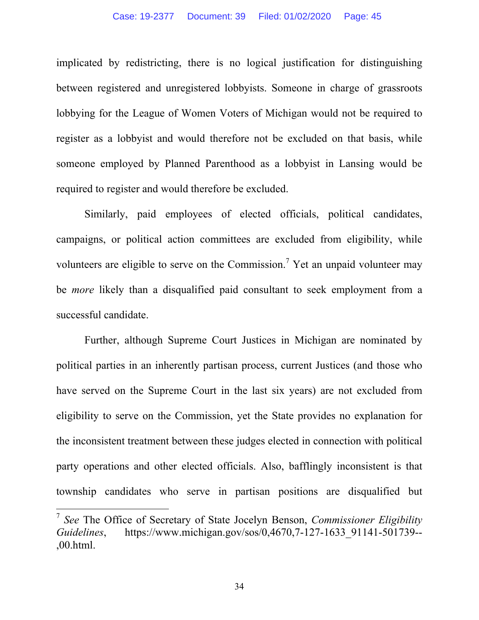implicated by redistricting, there is no logical justification for distinguishing between registered and unregistered lobbyists. Someone in charge of grassroots lobbying for the League of Women Voters of Michigan would not be required to register as a lobbyist and would therefore not be excluded on that basis, while someone employed by Planned Parenthood as a lobbyist in Lansing would be required to register and would therefore be excluded.

Similarly, paid employees of elected officials, political candidates, campaigns, or political action committees are excluded from eligibility, while volunteers are eligible to serve on the Commission.<sup>7</sup> Yet an unpaid volunteer may be *more* likely than a disqualified paid consultant to seek employment from a successful candidate.

Further, although Supreme Court Justices in Michigan are nominated by political parties in an inherently partisan process, current Justices (and those who have served on the Supreme Court in the last six years) are not excluded from eligibility to serve on the Commission, yet the State provides no explanation for the inconsistent treatment between these judges elected in connection with political party operations and other elected officials. Also, bafflingly inconsistent is that township candidates who serve in partisan positions are disqualified but

 $\overline{a}$ 

<sup>7</sup> *See* The Office of Secretary of State Jocelyn Benson, *Commissioner Eligibility Guidelines*, https://www.michigan.gov/sos/0,4670,7-127-1633\_91141-501739-- ,00.html.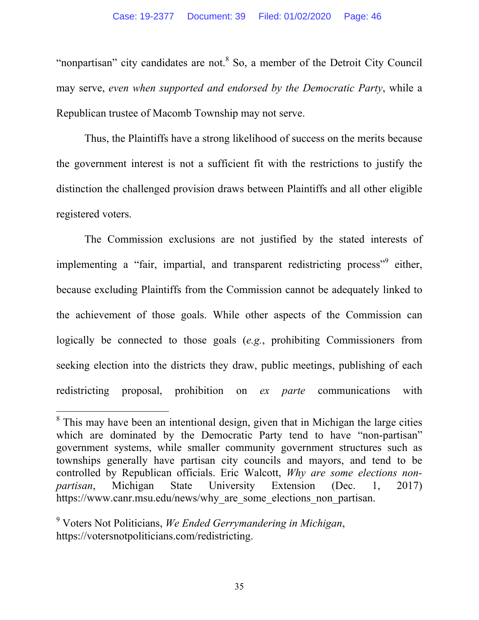"nonpartisan" city candidates are not. $8$  So, a member of the Detroit City Council may serve, *even when supported and endorsed by the Democratic Party*, while a Republican trustee of Macomb Township may not serve.

Thus, the Plaintiffs have a strong likelihood of success on the merits because the government interest is not a sufficient fit with the restrictions to justify the distinction the challenged provision draws between Plaintiffs and all other eligible registered voters.

The Commission exclusions are not justified by the stated interests of implementing a "fair, impartial, and transparent redistricting process"<sup>9</sup> either, because excluding Plaintiffs from the Commission cannot be adequately linked to the achievement of those goals. While other aspects of the Commission can logically be connected to those goals (*e.g.*, prohibiting Commissioners from seeking election into the districts they draw, public meetings, publishing of each redistricting proposal, prohibition on *ex parte* communications with

 $8$  This may have been an intentional design, given that in Michigan the large cities which are dominated by the Democratic Party tend to have "non-partisan" government systems, while smaller community government structures such as townships generally have partisan city councils and mayors, and tend to be controlled by Republican officials. Eric Walcott, *Why are some elections nonpartisan*, Michigan State University Extension (Dec. 1, 2017) https://www.canr.msu.edu/news/why\_are\_some\_elections\_non\_partisan.

<sup>9</sup> Voters Not Politicians, *We Ended Gerrymandering in Michigan*, https://votersnotpoliticians.com/redistricting.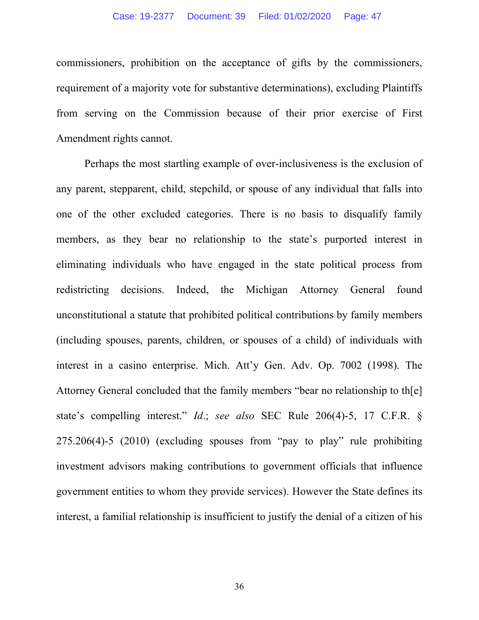commissioners, prohibition on the acceptance of gifts by the commissioners, requirement of a majority vote for substantive determinations), excluding Plaintiffs from serving on the Commission because of their prior exercise of First Amendment rights cannot.

Perhaps the most startling example of over-inclusiveness is the exclusion of any parent, stepparent, child, stepchild, or spouse of any individual that falls into one of the other excluded categories. There is no basis to disqualify family members, as they bear no relationship to the state's purported interest in eliminating individuals who have engaged in the state political process from redistricting decisions. Indeed, the Michigan Attorney General found unconstitutional a statute that prohibited political contributions by family members (including spouses, parents, children, or spouses of a child) of individuals with interest in a casino enterprise. Mich. Att'y Gen. Adv. Op. 7002 (1998). The Attorney General concluded that the family members "bear no relationship to th[e] state's compelling interest." *Id*.; *see also* SEC Rule 206(4)-5, 17 C.F.R. § 275.206(4)-5 (2010) (excluding spouses from "pay to play" rule prohibiting investment advisors making contributions to government officials that influence government entities to whom they provide services). However the State defines its interest, a familial relationship is insufficient to justify the denial of a citizen of his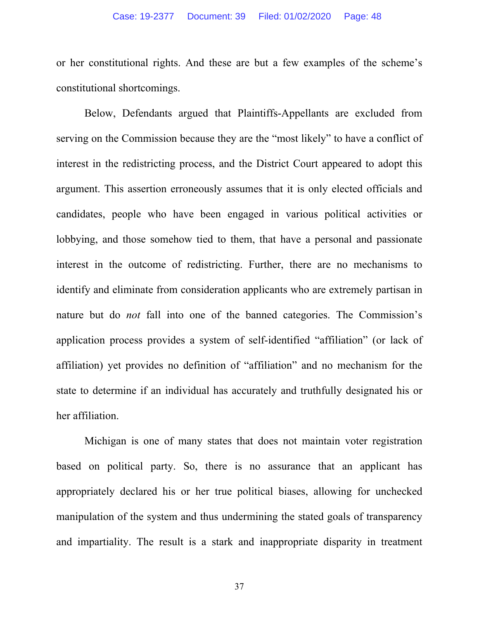or her constitutional rights. And these are but a few examples of the scheme's constitutional shortcomings.

Below, Defendants argued that Plaintiffs-Appellants are excluded from serving on the Commission because they are the "most likely" to have a conflict of interest in the redistricting process, and the District Court appeared to adopt this argument. This assertion erroneously assumes that it is only elected officials and candidates, people who have been engaged in various political activities or lobbying, and those somehow tied to them, that have a personal and passionate interest in the outcome of redistricting. Further, there are no mechanisms to identify and eliminate from consideration applicants who are extremely partisan in nature but do *not* fall into one of the banned categories. The Commission's application process provides a system of self-identified "affiliation" (or lack of affiliation) yet provides no definition of "affiliation" and no mechanism for the state to determine if an individual has accurately and truthfully designated his or her affiliation.

Michigan is one of many states that does not maintain voter registration based on political party. So, there is no assurance that an applicant has appropriately declared his or her true political biases, allowing for unchecked manipulation of the system and thus undermining the stated goals of transparency and impartiality. The result is a stark and inappropriate disparity in treatment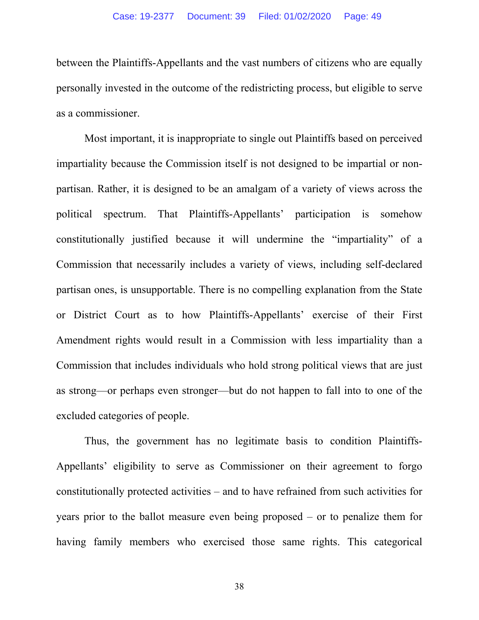between the Plaintiffs-Appellants and the vast numbers of citizens who are equally personally invested in the outcome of the redistricting process, but eligible to serve as a commissioner.

Most important, it is inappropriate to single out Plaintiffs based on perceived impartiality because the Commission itself is not designed to be impartial or nonpartisan. Rather, it is designed to be an amalgam of a variety of views across the political spectrum. That Plaintiffs-Appellants' participation is somehow constitutionally justified because it will undermine the "impartiality" of a Commission that necessarily includes a variety of views, including self-declared partisan ones, is unsupportable. There is no compelling explanation from the State or District Court as to how Plaintiffs-Appellants' exercise of their First Amendment rights would result in a Commission with less impartiality than a Commission that includes individuals who hold strong political views that are just as strong—or perhaps even stronger—but do not happen to fall into to one of the excluded categories of people.

Thus, the government has no legitimate basis to condition Plaintiffs-Appellants' eligibility to serve as Commissioner on their agreement to forgo constitutionally protected activities – and to have refrained from such activities for years prior to the ballot measure even being proposed – or to penalize them for having family members who exercised those same rights. This categorical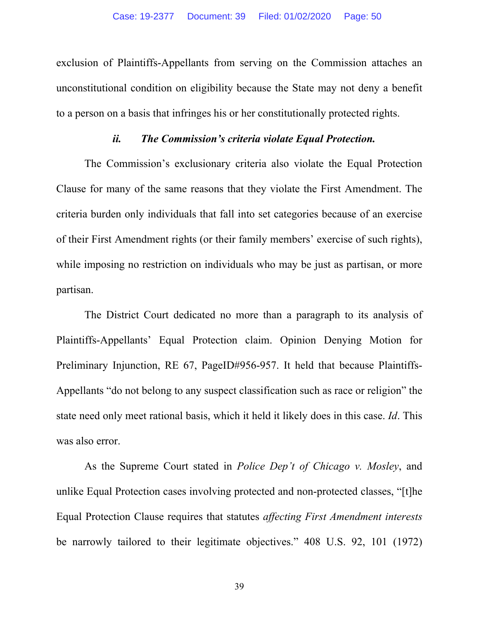exclusion of Plaintiffs-Appellants from serving on the Commission attaches an unconstitutional condition on eligibility because the State may not deny a benefit to a person on a basis that infringes his or her constitutionally protected rights.

#### *ii. The Commission's criteria violate Equal Protection.*

The Commission's exclusionary criteria also violate the Equal Protection Clause for many of the same reasons that they violate the First Amendment. The criteria burden only individuals that fall into set categories because of an exercise of their First Amendment rights (or their family members' exercise of such rights), while imposing no restriction on individuals who may be just as partisan, or more partisan.

The District Court dedicated no more than a paragraph to its analysis of Plaintiffs-Appellants' Equal Protection claim. Opinion Denying Motion for Preliminary Injunction, RE 67, PageID#956-957. It held that because Plaintiffs-Appellants "do not belong to any suspect classification such as race or religion" the state need only meet rational basis, which it held it likely does in this case. *Id*. This was also error.

As the Supreme Court stated in *Police Dep't of Chicago v. Mosley*, and unlike Equal Protection cases involving protected and non-protected classes, "[t]he Equal Protection Clause requires that statutes *affecting First Amendment interests* be narrowly tailored to their legitimate objectives." 408 U.S. 92, 101 (1972)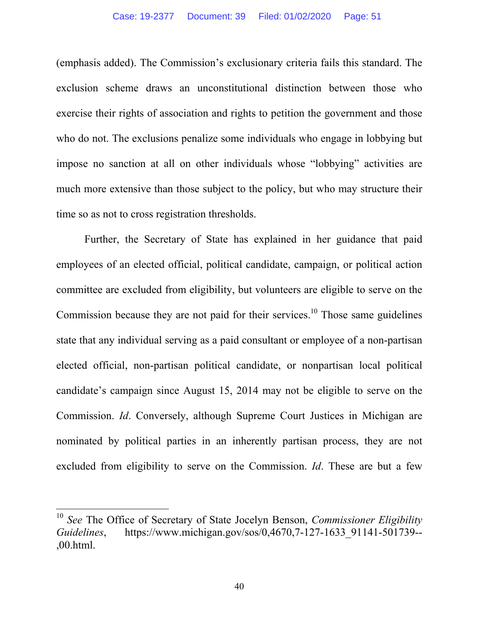(emphasis added). The Commission's exclusionary criteria fails this standard. The exclusion scheme draws an unconstitutional distinction between those who exercise their rights of association and rights to petition the government and those who do not. The exclusions penalize some individuals who engage in lobbying but impose no sanction at all on other individuals whose "lobbying" activities are much more extensive than those subject to the policy, but who may structure their time so as not to cross registration thresholds.

Further, the Secretary of State has explained in her guidance that paid employees of an elected official, political candidate, campaign, or political action committee are excluded from eligibility, but volunteers are eligible to serve on the Commission because they are not paid for their services.<sup>10</sup> Those same guidelines state that any individual serving as a paid consultant or employee of a non-partisan elected official, non-partisan political candidate, or nonpartisan local political candidate's campaign since August 15, 2014 may not be eligible to serve on the Commission. *Id*. Conversely, although Supreme Court Justices in Michigan are nominated by political parties in an inherently partisan process, they are not excluded from eligibility to serve on the Commission. *Id*. These are but a few

<sup>10</sup> *See* The Office of Secretary of State Jocelyn Benson, *Commissioner Eligibility Guidelines*, https://www.michigan.gov/sos/0,4670,7-127-1633\_91141-501739-- ,00.html.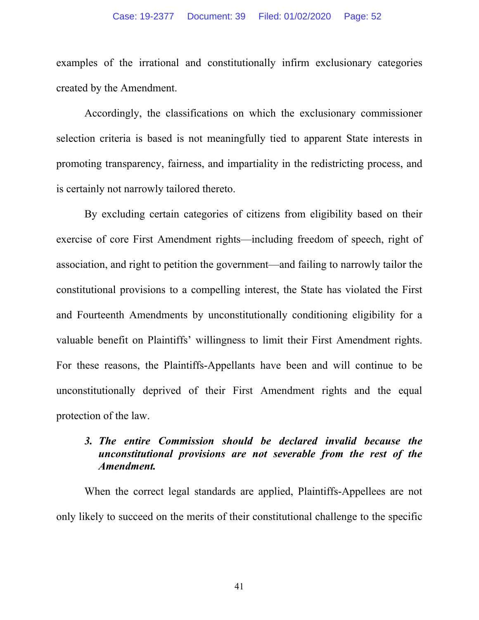examples of the irrational and constitutionally infirm exclusionary categories created by the Amendment.

Accordingly, the classifications on which the exclusionary commissioner selection criteria is based is not meaningfully tied to apparent State interests in promoting transparency, fairness, and impartiality in the redistricting process, and is certainly not narrowly tailored thereto.

 By excluding certain categories of citizens from eligibility based on their exercise of core First Amendment rights—including freedom of speech, right of association, and right to petition the government—and failing to narrowly tailor the constitutional provisions to a compelling interest, the State has violated the First and Fourteenth Amendments by unconstitutionally conditioning eligibility for a valuable benefit on Plaintiffs' willingness to limit their First Amendment rights. For these reasons, the Plaintiffs-Appellants have been and will continue to be unconstitutionally deprived of their First Amendment rights and the equal protection of the law.

#### *3. The entire Commission should be declared invalid because the unconstitutional provisions are not severable from the rest of the Amendment.*

When the correct legal standards are applied, Plaintiffs-Appellees are not only likely to succeed on the merits of their constitutional challenge to the specific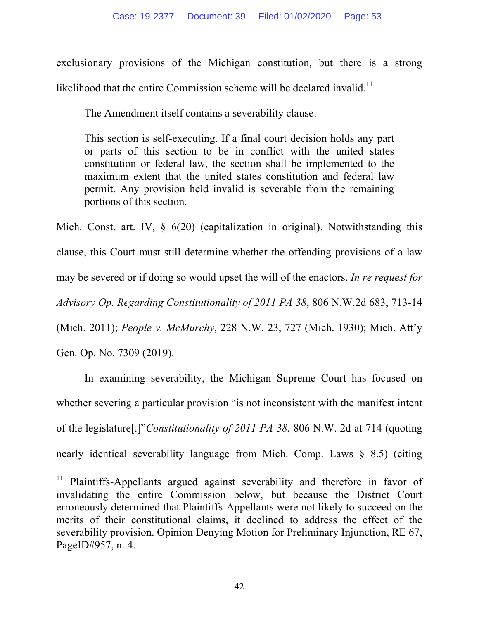exclusionary provisions of the Michigan constitution, but there is a strong likelihood that the entire Commission scheme will be declared invalid.<sup>11</sup>

The Amendment itself contains a severability clause:

This section is self-executing. If a final court decision holds any part or parts of this section to be in conflict with the united states constitution or federal law, the section shall be implemented to the maximum extent that the united states constitution and federal law permit. Any provision held invalid is severable from the remaining portions of this section.

Mich. Const. art. IV, § 6(20) (capitalization in original). Notwithstanding this clause, this Court must still determine whether the offending provisions of a law may be severed or if doing so would upset the will of the enactors. *In re request for Advisory Op. Regarding Constitutionality of 2011 PA 38*, 806 N.W.2d 683, 713-14 (Mich. 2011); *People v. McMurchy*, 228 N.W. 23, 727 (Mich. 1930); Mich. Att'y Gen. Op. No. 7309 (2019).

In examining severability, the Michigan Supreme Court has focused on whether severing a particular provision "is not inconsistent with the manifest intent of the legislature[.]"*Constitutionality of 2011 PA 38*, 806 N.W. 2d at 714 (quoting nearly identical severability language from Mich. Comp. Laws § 8.5) (citing

<sup>&</sup>lt;sup>11</sup> Plaintiffs-Appellants argued against severability and therefore in favor of invalidating the entire Commission below, but because the District Court erroneously determined that Plaintiffs-Appellants were not likely to succeed on the merits of their constitutional claims, it declined to address the effect of the severability provision. Opinion Denying Motion for Preliminary Injunction, RE 67, PageID#957, n. 4.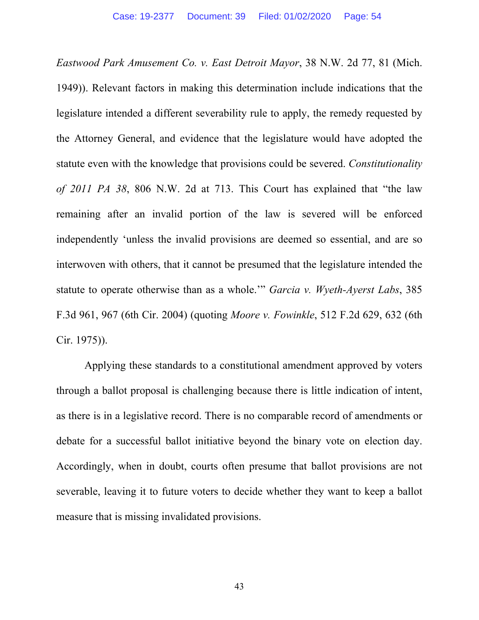*Eastwood Park Amusement Co. v. East Detroit Mayor*, 38 N.W. 2d 77, 81 (Mich. 1949)). Relevant factors in making this determination include indications that the legislature intended a different severability rule to apply, the remedy requested by the Attorney General, and evidence that the legislature would have adopted the statute even with the knowledge that provisions could be severed. *Constitutionality of 2011 PA 38*, 806 N.W. 2d at 713. This Court has explained that "the law remaining after an invalid portion of the law is severed will be enforced independently 'unless the invalid provisions are deemed so essential, and are so interwoven with others, that it cannot be presumed that the legislature intended the statute to operate otherwise than as a whole.'" *Garcia v. Wyeth-Ayerst Labs*, 385 F.3d 961, 967 (6th Cir. 2004) (quoting *Moore v. Fowinkle*, 512 F.2d 629, 632 (6th Cir. 1975)).

Applying these standards to a constitutional amendment approved by voters through a ballot proposal is challenging because there is little indication of intent, as there is in a legislative record. There is no comparable record of amendments or debate for a successful ballot initiative beyond the binary vote on election day. Accordingly, when in doubt, courts often presume that ballot provisions are not severable, leaving it to future voters to decide whether they want to keep a ballot measure that is missing invalidated provisions.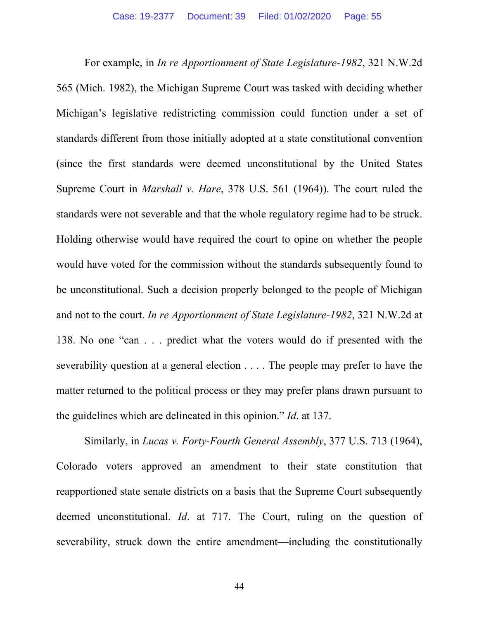For example, in *In re Apportionment of State Legislature-1982*, 321 N.W.2d 565 (Mich. 1982), the Michigan Supreme Court was tasked with deciding whether Michigan's legislative redistricting commission could function under a set of standards different from those initially adopted at a state constitutional convention (since the first standards were deemed unconstitutional by the United States Supreme Court in *Marshall v. Hare*, 378 U.S. 561 (1964)). The court ruled the standards were not severable and that the whole regulatory regime had to be struck. Holding otherwise would have required the court to opine on whether the people would have voted for the commission without the standards subsequently found to be unconstitutional. Such a decision properly belonged to the people of Michigan and not to the court. *In re Apportionment of State Legislature-1982*, 321 N.W.2d at 138. No one "can . . . predict what the voters would do if presented with the severability question at a general election . . . . The people may prefer to have the matter returned to the political process or they may prefer plans drawn pursuant to the guidelines which are delineated in this opinion." *Id*. at 137.

Similarly, in *Lucas v. Forty-Fourth General Assembly*, 377 U.S. 713 (1964), Colorado voters approved an amendment to their state constitution that reapportioned state senate districts on a basis that the Supreme Court subsequently deemed unconstitutional. *Id*. at 717. The Court, ruling on the question of severability, struck down the entire amendment—including the constitutionally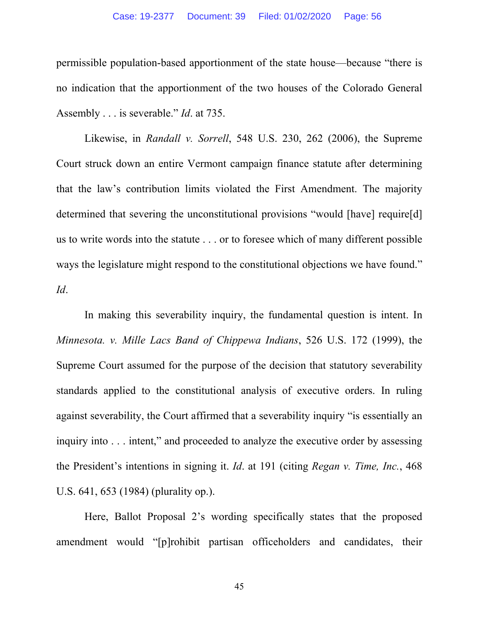permissible population-based apportionment of the state house—because "there is no indication that the apportionment of the two houses of the Colorado General Assembly . . . is severable." *Id*. at 735.

Likewise, in *Randall v. Sorrell*, 548 U.S. 230, 262 (2006), the Supreme Court struck down an entire Vermont campaign finance statute after determining that the law's contribution limits violated the First Amendment. The majority determined that severing the unconstitutional provisions "would [have] require[d] us to write words into the statute . . . or to foresee which of many different possible ways the legislature might respond to the constitutional objections we have found." *Id*.

In making this severability inquiry, the fundamental question is intent. In *Minnesota. v. Mille Lacs Band of Chippewa Indians*, 526 U.S. 172 (1999), the Supreme Court assumed for the purpose of the decision that statutory severability standards applied to the constitutional analysis of executive orders. In ruling against severability, the Court affirmed that a severability inquiry "is essentially an inquiry into . . . intent," and proceeded to analyze the executive order by assessing the President's intentions in signing it. *Id*. at 191 (citing *Regan v. Time, Inc.*, 468 U.S. 641, 653 (1984) (plurality op.).

Here, Ballot Proposal 2's wording specifically states that the proposed amendment would "[p]rohibit partisan officeholders and candidates, their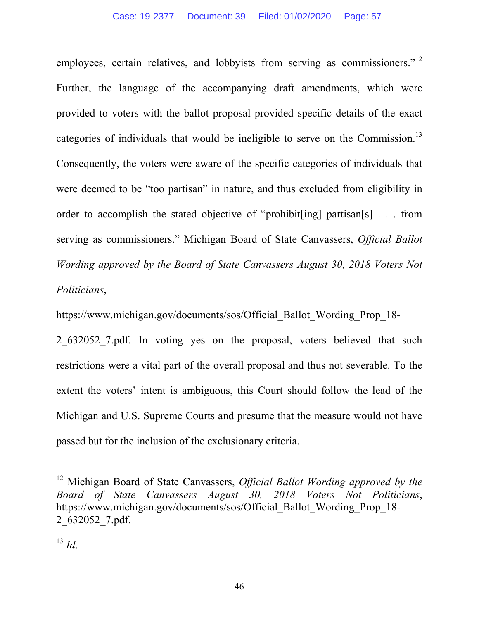employees, certain relatives, and lobbyists from serving as commissioners.<sup>"12</sup> Further, the language of the accompanying draft amendments, which were provided to voters with the ballot proposal provided specific details of the exact categories of individuals that would be ineligible to serve on the Commission.<sup>13</sup> Consequently, the voters were aware of the specific categories of individuals that were deemed to be "too partisan" in nature, and thus excluded from eligibility in order to accomplish the stated objective of "prohibit[ing] partisan[s] . . . from serving as commissioners." Michigan Board of State Canvassers, *Official Ballot Wording approved by the Board of State Canvassers August 30, 2018 Voters Not Politicians*,

https://www.michigan.gov/documents/sos/Official\_Ballot\_Wording\_Prop\_18-

2\_632052\_7.pdf. In voting yes on the proposal, voters believed that such restrictions were a vital part of the overall proposal and thus not severable. To the extent the voters' intent is ambiguous, this Court should follow the lead of the Michigan and U.S. Supreme Courts and presume that the measure would not have passed but for the inclusion of the exclusionary criteria.

<sup>12</sup> Michigan Board of State Canvassers, *Official Ballot Wording approved by the Board of State Canvassers August 30, 2018 Voters Not Politicians*, https://www.michigan.gov/documents/sos/Official\_Ballot\_Wording\_Prop\_18- 2\_632052\_7.pdf.

<sup>13</sup> *Id*.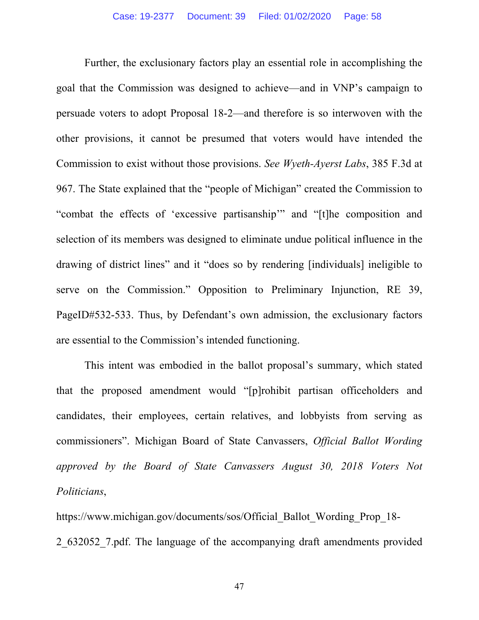Further, the exclusionary factors play an essential role in accomplishing the goal that the Commission was designed to achieve—and in VNP's campaign to persuade voters to adopt Proposal 18-2—and therefore is so interwoven with the other provisions, it cannot be presumed that voters would have intended the Commission to exist without those provisions. *See Wyeth-Ayerst Labs*, 385 F.3d at 967. The State explained that the "people of Michigan" created the Commission to "combat the effects of 'excessive partisanship'" and "[t]he composition and selection of its members was designed to eliminate undue political influence in the drawing of district lines" and it "does so by rendering [individuals] ineligible to serve on the Commission." Opposition to Preliminary Injunction, RE 39, PageID#532-533. Thus, by Defendant's own admission, the exclusionary factors are essential to the Commission's intended functioning.

This intent was embodied in the ballot proposal's summary, which stated that the proposed amendment would "[p]rohibit partisan officeholders and candidates, their employees, certain relatives, and lobbyists from serving as commissioners". Michigan Board of State Canvassers, *Official Ballot Wording approved by the Board of State Canvassers August 30, 2018 Voters Not Politicians*,

https://www.michigan.gov/documents/sos/Official\_Ballot\_Wording\_Prop\_18- 2\_632052\_7.pdf. The language of the accompanying draft amendments provided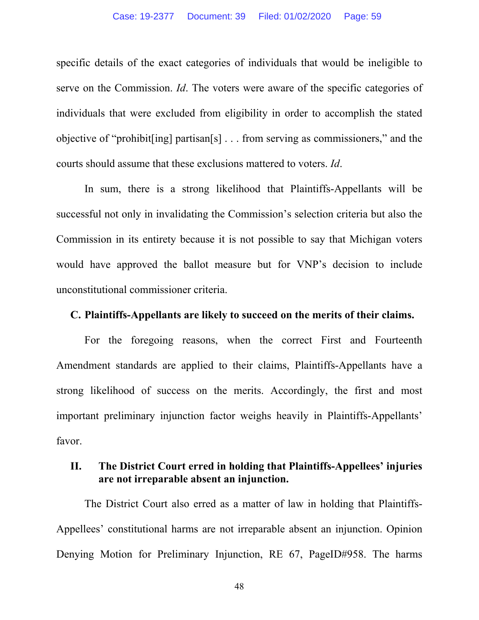specific details of the exact categories of individuals that would be ineligible to serve on the Commission. *Id*. The voters were aware of the specific categories of individuals that were excluded from eligibility in order to accomplish the stated objective of "prohibit[ing] partisan[s] . . . from serving as commissioners," and the courts should assume that these exclusions mattered to voters. *Id*.

In sum, there is a strong likelihood that Plaintiffs-Appellants will be successful not only in invalidating the Commission's selection criteria but also the Commission in its entirety because it is not possible to say that Michigan voters would have approved the ballot measure but for VNP's decision to include unconstitutional commissioner criteria.

#### **C. Plaintiffs-Appellants are likely to succeed on the merits of their claims.**

For the foregoing reasons, when the correct First and Fourteenth Amendment standards are applied to their claims, Plaintiffs-Appellants have a strong likelihood of success on the merits. Accordingly, the first and most important preliminary injunction factor weighs heavily in Plaintiffs-Appellants' favor.

## **II. The District Court erred in holding that Plaintiffs-Appellees' injuries are not irreparable absent an injunction.**

The District Court also erred as a matter of law in holding that Plaintiffs-Appellees' constitutional harms are not irreparable absent an injunction. Opinion Denying Motion for Preliminary Injunction, RE 67, PageID#958. The harms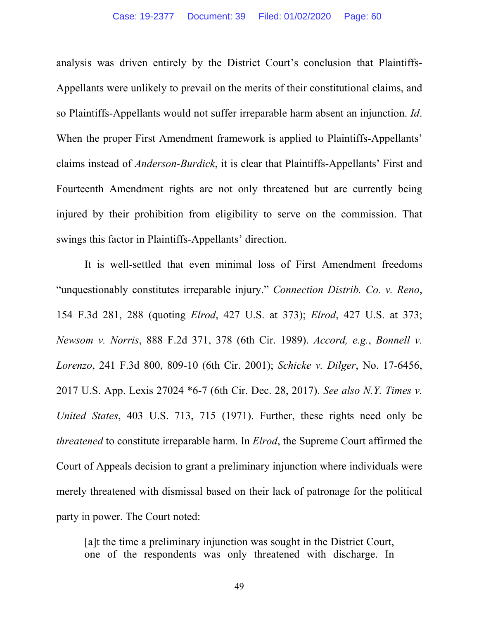analysis was driven entirely by the District Court's conclusion that Plaintiffs-Appellants were unlikely to prevail on the merits of their constitutional claims, and so Plaintiffs-Appellants would not suffer irreparable harm absent an injunction. *Id*. When the proper First Amendment framework is applied to Plaintiffs-Appellants' claims instead of *Anderson-Burdick*, it is clear that Plaintiffs-Appellants' First and Fourteenth Amendment rights are not only threatened but are currently being injured by their prohibition from eligibility to serve on the commission. That swings this factor in Plaintiffs-Appellants' direction.

It is well-settled that even minimal loss of First Amendment freedoms "unquestionably constitutes irreparable injury." *Connection Distrib. Co. v. Reno*, 154 F.3d 281, 288 (quoting *Elrod*, 427 U.S. at 373); *Elrod*, 427 U.S. at 373; *Newsom v. Norris*, 888 F.2d 371, 378 (6th Cir. 1989). *Accord, e.g.*, *Bonnell v. Lorenzo*, 241 F.3d 800, 809-10 (6th Cir. 2001); *Schicke v. Dilger*, No. 17-6456, 2017 U.S. App. Lexis 27024 \*6-7 (6th Cir. Dec. 28, 2017). *See also N.Y. Times v. United States*, 403 U.S. 713, 715 (1971). Further, these rights need only be *threatened* to constitute irreparable harm. In *Elrod*, the Supreme Court affirmed the Court of Appeals decision to grant a preliminary injunction where individuals were merely threatened with dismissal based on their lack of patronage for the political party in power. The Court noted:

[a]t the time a preliminary injunction was sought in the District Court, one of the respondents was only threatened with discharge. In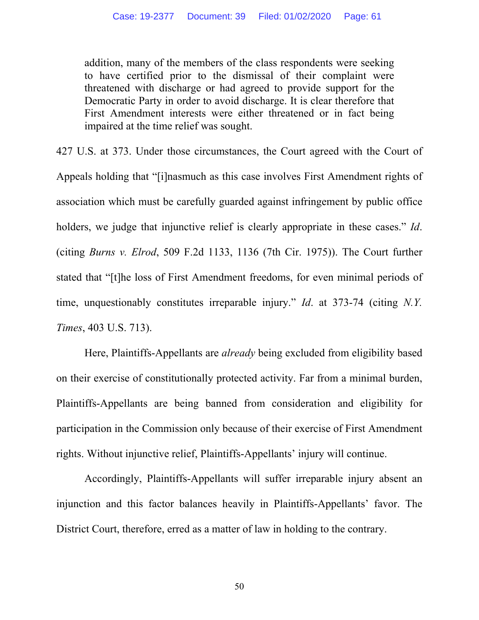addition, many of the members of the class respondents were seeking to have certified prior to the dismissal of their complaint were threatened with discharge or had agreed to provide support for the Democratic Party in order to avoid discharge. It is clear therefore that First Amendment interests were either threatened or in fact being impaired at the time relief was sought.

427 U.S. at 373. Under those circumstances, the Court agreed with the Court of Appeals holding that "[i]nasmuch as this case involves First Amendment rights of association which must be carefully guarded against infringement by public office holders, we judge that injunctive relief is clearly appropriate in these cases." *Id*. (citing *Burns v. Elrod*, 509 F.2d 1133, 1136 (7th Cir. 1975)). The Court further stated that "[t]he loss of First Amendment freedoms, for even minimal periods of time, unquestionably constitutes irreparable injury." *Id*. at 373-74 (citing *N.Y. Times*, 403 U.S. 713).

 Here, Plaintiffs-Appellants are *already* being excluded from eligibility based on their exercise of constitutionally protected activity. Far from a minimal burden, Plaintiffs-Appellants are being banned from consideration and eligibility for participation in the Commission only because of their exercise of First Amendment rights. Without injunctive relief, Plaintiffs-Appellants' injury will continue.

 Accordingly, Plaintiffs-Appellants will suffer irreparable injury absent an injunction and this factor balances heavily in Plaintiffs-Appellants' favor. The District Court, therefore, erred as a matter of law in holding to the contrary.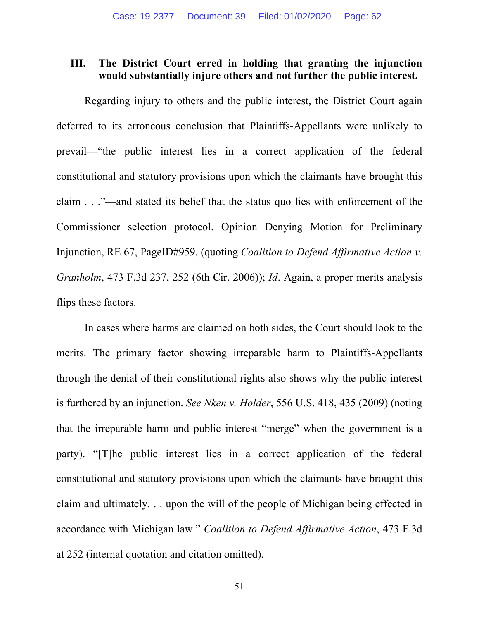#### **III. The District Court erred in holding that granting the injunction would substantially injure others and not further the public interest.**

Regarding injury to others and the public interest, the District Court again deferred to its erroneous conclusion that Plaintiffs-Appellants were unlikely to prevail—"the public interest lies in a correct application of the federal constitutional and statutory provisions upon which the claimants have brought this claim . . ."—and stated its belief that the status quo lies with enforcement of the Commissioner selection protocol. Opinion Denying Motion for Preliminary Injunction, RE 67, PageID#959, (quoting *Coalition to Defend Affirmative Action v. Granholm*, 473 F.3d 237, 252 (6th Cir. 2006)); *Id*. Again, a proper merits analysis flips these factors.

In cases where harms are claimed on both sides, the Court should look to the merits. The primary factor showing irreparable harm to Plaintiffs-Appellants through the denial of their constitutional rights also shows why the public interest is furthered by an injunction. *See Nken v. Holder*, 556 U.S. 418, 435 (2009) (noting that the irreparable harm and public interest "merge" when the government is a party). "[T]he public interest lies in a correct application of the federal constitutional and statutory provisions upon which the claimants have brought this claim and ultimately. . . upon the will of the people of Michigan being effected in accordance with Michigan law." *Coalition to Defend Affirmative Action*, 473 F.3d at 252 (internal quotation and citation omitted).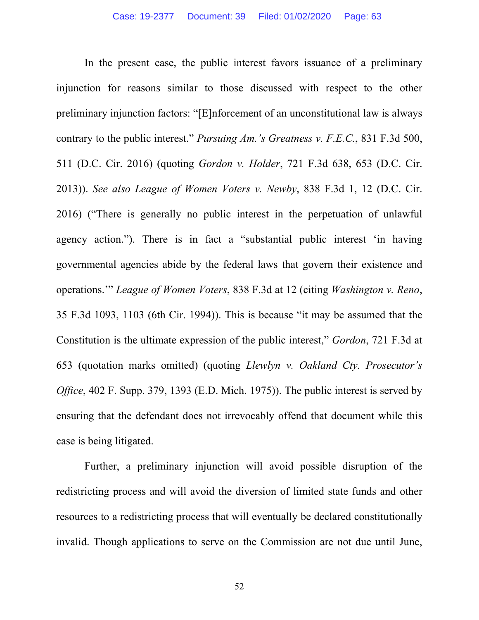In the present case, the public interest favors issuance of a preliminary injunction for reasons similar to those discussed with respect to the other preliminary injunction factors: "[E]nforcement of an unconstitutional law is always contrary to the public interest." *Pursuing Am.'s Greatness v. F.E.C.*, 831 F.3d 500, 511 (D.C. Cir. 2016) (quoting *Gordon v. Holder*, 721 F.3d 638, 653 (D.C. Cir. 2013)). *See also League of Women Voters v. Newby*, 838 F.3d 1, 12 (D.C. Cir. 2016) ("There is generally no public interest in the perpetuation of unlawful agency action."). There is in fact a "substantial public interest 'in having governmental agencies abide by the federal laws that govern their existence and operations.'" *League of Women Voters*, 838 F.3d at 12 (citing *Washington v. Reno*, 35 F.3d 1093, 1103 (6th Cir. 1994)). This is because "it may be assumed that the Constitution is the ultimate expression of the public interest," *Gordon*, 721 F.3d at 653 (quotation marks omitted) (quoting *Llewlyn v. Oakland Cty. Prosecutor's Office*, 402 F. Supp. 379, 1393 (E.D. Mich. 1975)). The public interest is served by ensuring that the defendant does not irrevocably offend that document while this case is being litigated.

Further, a preliminary injunction will avoid possible disruption of the redistricting process and will avoid the diversion of limited state funds and other resources to a redistricting process that will eventually be declared constitutionally invalid. Though applications to serve on the Commission are not due until June,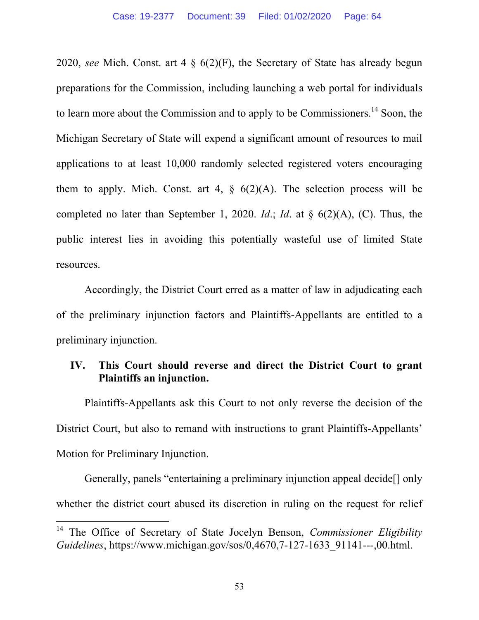2020, *see* Mich. Const. art 4 § 6(2)(F), the Secretary of State has already begun preparations for the Commission, including launching a web portal for individuals to learn more about the Commission and to apply to be Commissioners.<sup>14</sup> Soon, the Michigan Secretary of State will expend a significant amount of resources to mail applications to at least 10,000 randomly selected registered voters encouraging them to apply. Mich. Const. art 4,  $\frac{6}{2}(A)$ . The selection process will be completed no later than September 1, 2020. *Id*.; *Id*. at § 6(2)(A), (C). Thus, the public interest lies in avoiding this potentially wasteful use of limited State resources.

 Accordingly, the District Court erred as a matter of law in adjudicating each of the preliminary injunction factors and Plaintiffs-Appellants are entitled to a preliminary injunction.

## **IV. This Court should reverse and direct the District Court to grant Plaintiffs an injunction.**

Plaintiffs-Appellants ask this Court to not only reverse the decision of the District Court, but also to remand with instructions to grant Plaintiffs-Appellants' Motion for Preliminary Injunction.

Generally, panels "entertaining a preliminary injunction appeal decide[] only whether the district court abused its discretion in ruling on the request for relief

<sup>14</sup> The Office of Secretary of State Jocelyn Benson, *Commissioner Eligibility Guidelines*, https://www.michigan.gov/sos/0,4670,7-127-1633\_91141---,00.html.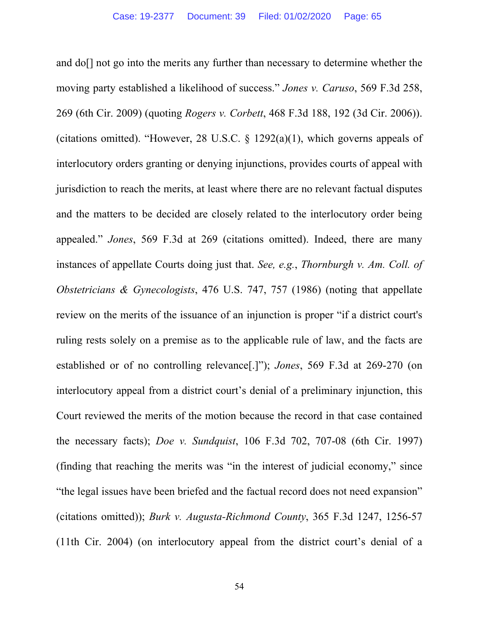and do[] not go into the merits any further than necessary to determine whether the moving party established a likelihood of success." *Jones v. Caruso*, 569 F.3d 258, 269 (6th Cir. 2009) (quoting *Rogers v. Corbett*, 468 F.3d 188, 192 (3d Cir. 2006)). (citations omitted). "However, 28 U.S.C.  $\S$  1292(a)(1), which governs appeals of interlocutory orders granting or denying injunctions, provides courts of appeal with jurisdiction to reach the merits, at least where there are no relevant factual disputes and the matters to be decided are closely related to the interlocutory order being appealed." *Jones*, 569 F.3d at 269 (citations omitted). Indeed, there are many instances of appellate Courts doing just that. *See, e.g.*, *Thornburgh v. Am. Coll. of Obstetricians & Gynecologists*, 476 U.S. 747, 757 (1986) (noting that appellate review on the merits of the issuance of an injunction is proper "if a district court's ruling rests solely on a premise as to the applicable rule of law, and the facts are established or of no controlling relevance[.]"); *Jones*, 569 F.3d at 269-270 (on interlocutory appeal from a district court's denial of a preliminary injunction, this Court reviewed the merits of the motion because the record in that case contained the necessary facts); *Doe v. Sundquist*, 106 F.3d 702, 707-08 (6th Cir. 1997) (finding that reaching the merits was "in the interest of judicial economy," since "the legal issues have been briefed and the factual record does not need expansion" (citations omitted)); *Burk v. Augusta-Richmond County*, 365 F.3d 1247, 1256-57 (11th Cir. 2004) (on interlocutory appeal from the district court's denial of a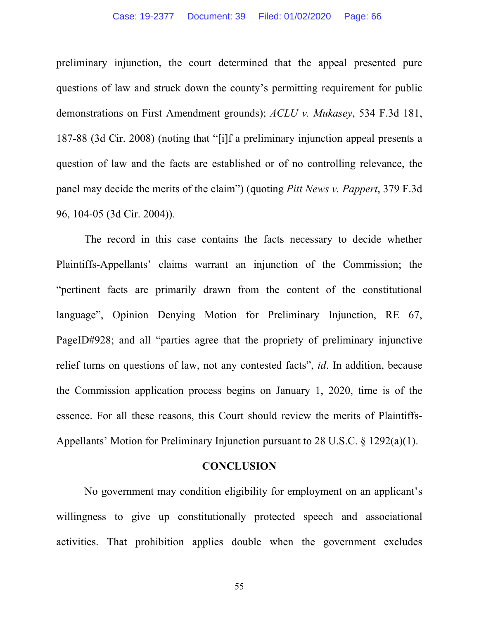#### Case: 19-2377 Document: 39 Filed: 01/02/2020 Page: 66

preliminary injunction, the court determined that the appeal presented pure questions of law and struck down the county's permitting requirement for public demonstrations on First Amendment grounds); *ACLU v. Mukasey*, 534 F.3d 181, 187-88 (3d Cir. 2008) (noting that "[i]f a preliminary injunction appeal presents a question of law and the facts are established or of no controlling relevance, the panel may decide the merits of the claim") (quoting *Pitt News v. Pappert*, 379 F.3d 96, 104-05 (3d Cir. 2004)).

The record in this case contains the facts necessary to decide whether Plaintiffs-Appellants' claims warrant an injunction of the Commission; the "pertinent facts are primarily drawn from the content of the constitutional language", Opinion Denying Motion for Preliminary Injunction, RE 67, PageID#928; and all "parties agree that the propriety of preliminary injunctive relief turns on questions of law, not any contested facts", *id*. In addition, because the Commission application process begins on January 1, 2020, time is of the essence. For all these reasons, this Court should review the merits of Plaintiffs-Appellants' Motion for Preliminary Injunction pursuant to 28 U.S.C. § 1292(a)(1).

#### **CONCLUSION**

No government may condition eligibility for employment on an applicant's willingness to give up constitutionally protected speech and associational activities. That prohibition applies double when the government excludes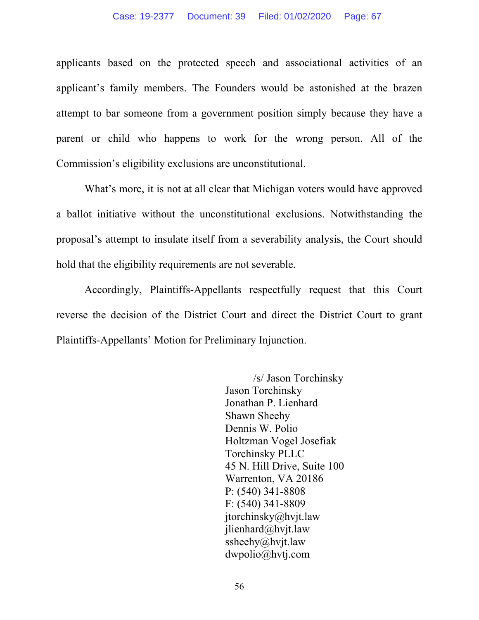applicants based on the protected speech and associational activities of an applicant's family members. The Founders would be astonished at the brazen attempt to bar someone from a government position simply because they have a parent or child who happens to work for the wrong person. All of the Commission's eligibility exclusions are unconstitutional.

What's more, it is not at all clear that Michigan voters would have approved a ballot initiative without the unconstitutional exclusions. Notwithstanding the proposal's attempt to insulate itself from a severability analysis, the Court should hold that the eligibility requirements are not severable.

Accordingly, Plaintiffs-Appellants respectfully request that this Court reverse the decision of the District Court and direct the District Court to grant Plaintiffs-Appellants' Motion for Preliminary Injunction.

> /s/ Jason Torchinsky Jason Torchinsky Jonathan P. Lienhard Shawn Sheehy Dennis W. Polio Holtzman Vogel Josefiak Torchinsky PLLC 45 N. Hill Drive, Suite 100 Warrenton, VA 20186 P: (540) 341-8808 F: (540) 341-8809 jtorchinsky@hvjt.law jlienhard@hvjt.law ssheehy@hvjt.law dwpolio@hvtj.com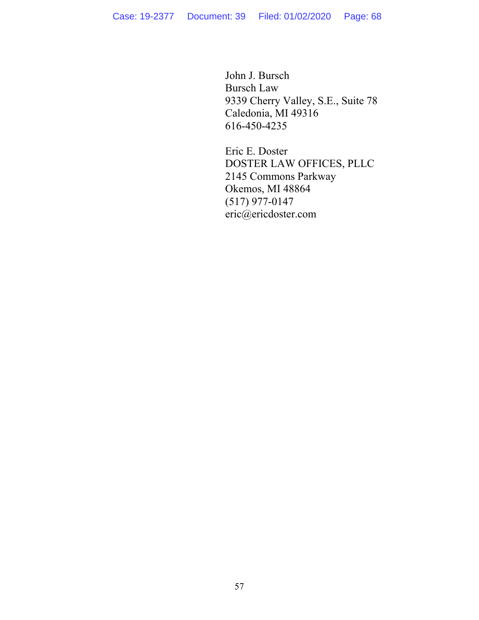John J. Bursch Bursch Law 9339 Cherry Valley, S.E., Suite 78 Caledonia, MI 49316 616-450-4235

Eric E. Doster DOSTER LAW OFFICES, PLLC 2145 Commons Parkway Okemos, MI 48864 (517) 977-0147 eric@ericdoster.com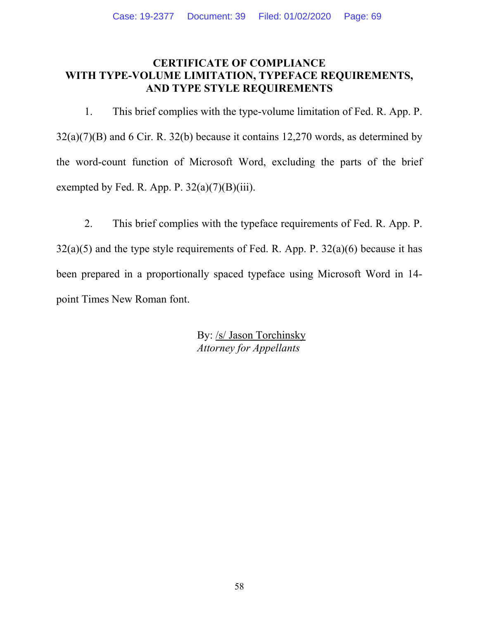#### **CERTIFICATE OF COMPLIANCE WITH TYPE-VOLUME LIMITATION, TYPEFACE REQUIREMENTS, AND TYPE STYLE REQUIREMENTS**

1. This brief complies with the type-volume limitation of Fed. R. App. P. 32(a)(7)(B) and 6 Cir. R. 32(b) because it contains 12,270 words, as determined by the word-count function of Microsoft Word, excluding the parts of the brief exempted by Fed. R. App. P.  $32(a)(7)(B)(iii)$ .

2. This brief complies with the typeface requirements of Fed. R. App. P.  $32(a)(5)$  and the type style requirements of Fed. R. App. P.  $32(a)(6)$  because it has been prepared in a proportionally spaced typeface using Microsoft Word in 14 point Times New Roman font.

> By: /s/ Jason Torchinsky *Attorney for Appellants*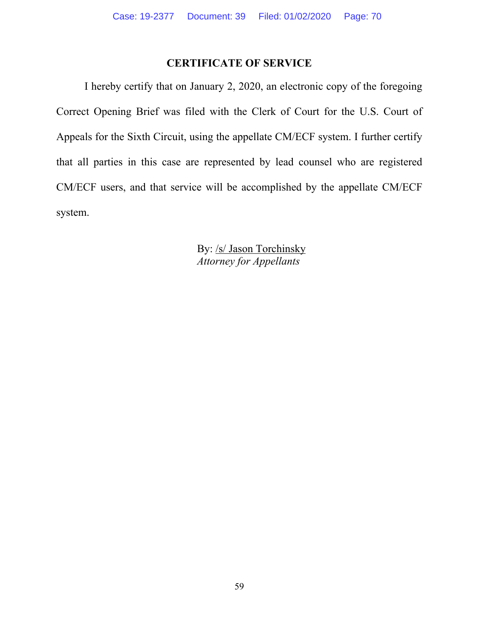# **CERTIFICATE OF SERVICE**

I hereby certify that on January 2, 2020, an electronic copy of the foregoing Correct Opening Brief was filed with the Clerk of Court for the U.S. Court of Appeals for the Sixth Circuit, using the appellate CM/ECF system. I further certify that all parties in this case are represented by lead counsel who are registered CM/ECF users, and that service will be accomplished by the appellate CM/ECF system.

> By: /s/ Jason Torchinsky *Attorney for Appellants*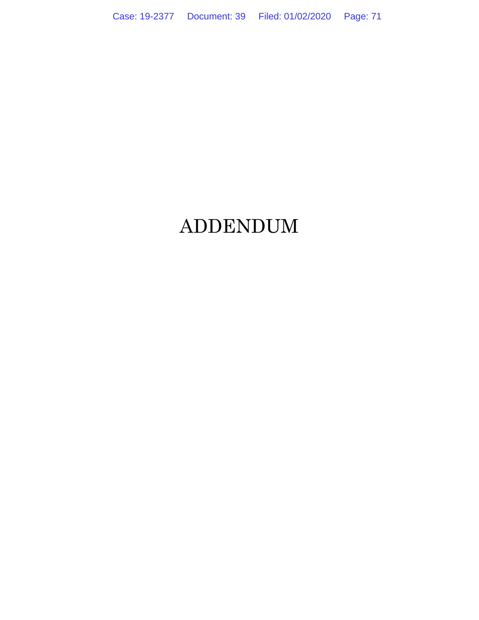# ADDENDUM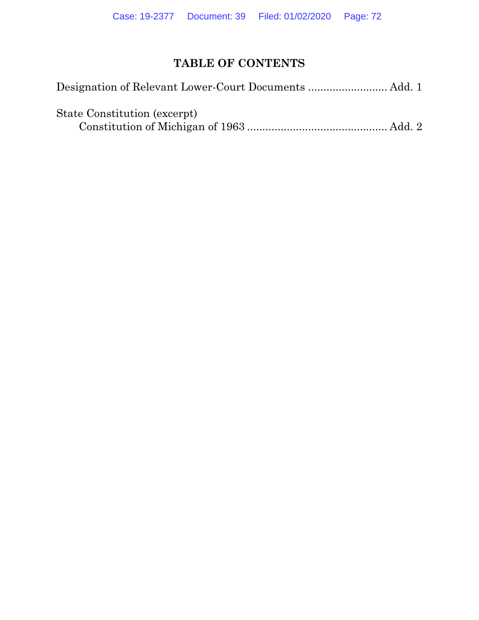# **TABLE OF CONTENTS**

| State Constitution (excerpt) |  |
|------------------------------|--|
|                              |  |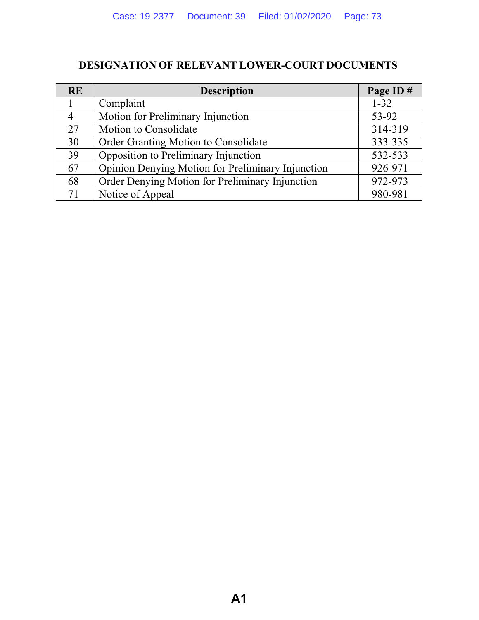## **DESIGNATION OF RELEVANT LOWER-COURT DOCUMENTS**

| <b>RE</b>      | <b>Description</b>                                | Page ID# |
|----------------|---------------------------------------------------|----------|
|                | Complaint                                         | $1 - 32$ |
| $\overline{4}$ | Motion for Preliminary Injunction                 | 53-92    |
| 27             | Motion to Consolidate                             | 314-319  |
| 30             | Order Granting Motion to Consolidate              | 333-335  |
| 39             | Opposition to Preliminary Injunction              | 532-533  |
| 67             | Opinion Denying Motion for Preliminary Injunction | 926-971  |
| 68             | Order Denying Motion for Preliminary Injunction   | 972-973  |
| 71             | Notice of Appeal                                  | 980-981  |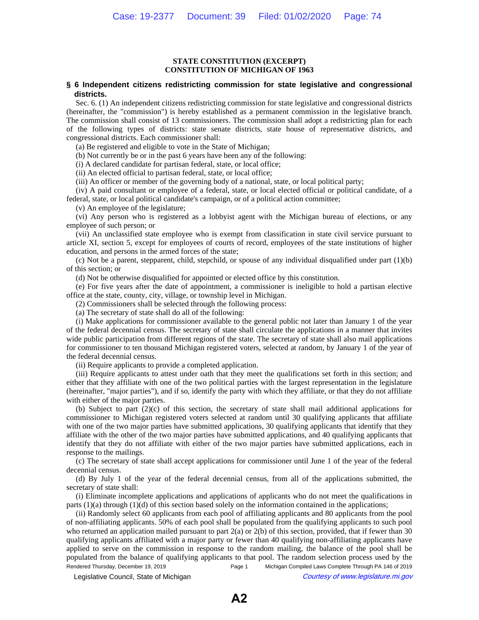## **STATE CONSTITUTION (EXCERPT) CONSTITUTION OF MICHIGAN OF 1963**

## **§ 6 Independent citizens redistricting commission for state legislative and congressional districts.**

Sec. 6. (1) An independent citizens redistricting commission for state legislative and congressional districts (hereinafter, the "commission") is hereby established as a permanent commission in the legislative branch. The commission shall consist of 13 commissioners. The commission shall adopt a redistricting plan for each of the following types of districts: state senate districts, state house of representative districts, and congressional districts. Each commissioner shall:

(a) Be registered and eligible to vote in the State of Michigan;

(b) Not currently be or in the past 6 years have been any of the following:

(i) A declared candidate for partisan federal, state, or local office;

(ii) An elected official to partisan federal, state, or local office;

(iii) An officer or member of the governing body of a national, state, or local political party;

(iv) A paid consultant or employee of a federal, state, or local elected official or political candidate, of a federal, state, or local political candidate's campaign, or of a political action committee;

(v) An employee of the legislature;

(vi) Any person who is registered as a lobbyist agent with the Michigan bureau of elections, or any employee of such person; or

(vii) An unclassified state employee who is exempt from classification in state civil service pursuant to article XI, section 5, except for employees of courts of record, employees of the state institutions of higher education, and persons in the armed forces of the state;

(c) Not be a parent, stepparent, child, stepchild, or spouse of any individual disqualified under part  $(1)(b)$ of this section; or

(d) Not be otherwise disqualified for appointed or elected office by this constitution.

(e) For five years after the date of appointment, a commissioner is ineligible to hold a partisan elective office at the state, county, city, village, or township level in Michigan.

(2) Commissioners shall be selected through the following process:

(a) The secretary of state shall do all of the following:

(i) Make applications for commissioner available to the general public not later than January 1 of the year of the federal decennial census. The secretary of state shall circulate the applications in a manner that invites wide public participation from different regions of the state. The secretary of state shall also mail applications for commissioner to ten thousand Michigan registered voters, selected at random, by January 1 of the year of the federal decennial census.

(ii) Require applicants to provide a completed application.

(iii) Require applicants to attest under oath that they meet the qualifications set forth in this section; and either that they affiliate with one of the two political parties with the largest representation in the legislature (hereinafter, "major parties"), and if so, identify the party with which they affiliate, or that they do not affiliate with either of the major parties.

(b) Subject to part (2)(c) of this section, the secretary of state shall mail additional applications for commissioner to Michigan registered voters selected at random until 30 qualifying applicants that affiliate with one of the two major parties have submitted applications, 30 qualifying applicants that identify that they affiliate with the other of the two major parties have submitted applications, and 40 qualifying applicants that identify that they do not affiliate with either of the two major parties have submitted applications, each in response to the mailings.

(c) The secretary of state shall accept applications for commissioner until June 1 of the year of the federal decennial census.

(d) By July 1 of the year of the federal decennial census, from all of the applications submitted, the secretary of state shall:

(i) Eliminate incomplete applications and applications of applicants who do not meet the qualifications in parts (1)(a) through (1)(d) of this section based solely on the information contained in the applications;

(ii) Randomly select 60 applicants from each pool of affiliating applicants and 80 applicants from the pool of non-affiliating applicants. 50% of each pool shall be populated from the qualifying applicants to such pool who returned an application mailed pursuant to part  $2(a)$  or  $2(b)$  of this section, provided, that if fewer than 30 qualifying applicants affiliated with a major party or fewer than 40 qualifying non-affiliating applicants have applied to serve on the commission in response to the random mailing, the balance of the pool shall be populated from the balance of qualifying applicants to that pool. The random selection process used by the Rendered Thursday, December 19, 2019 Page 1 Michigan Compiled Laws Complete Through PA 146 of 2019

© Legislative Council, State of Michigan Council Courtesy of www.legislature.mi.gov

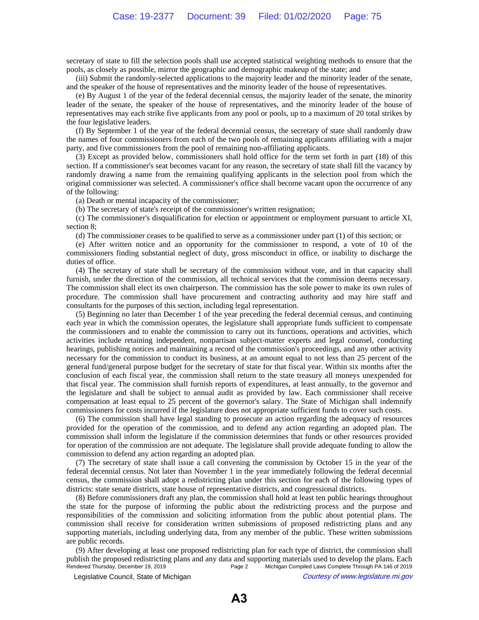secretary of state to fill the selection pools shall use accepted statistical weighting methods to ensure that the pools, as closely as possible, mirror the geographic and demographic makeup of the state; and

(iii) Submit the randomly-selected applications to the majority leader and the minority leader of the senate, and the speaker of the house of representatives and the minority leader of the house of representatives.

(e) By August 1 of the year of the federal decennial census, the majority leader of the senate, the minority leader of the senate, the speaker of the house of representatives, and the minority leader of the house of representatives may each strike five applicants from any pool or pools, up to a maximum of 20 total strikes by the four legislative leaders.

(f) By September 1 of the year of the federal decennial census, the secretary of state shall randomly draw the names of four commissioners from each of the two pools of remaining applicants affiliating with a major party, and five commissioners from the pool of remaining non-affiliating applicants.

(3) Except as provided below, commissioners shall hold office for the term set forth in part (18) of this section. If a commissioner's seat becomes vacant for any reason, the secretary of state shall fill the vacancy by randomly drawing a name from the remaining qualifying applicants in the selection pool from which the original commissioner was selected. A commissioner's office shall become vacant upon the occurrence of any of the following:

(a) Death or mental incapacity of the commissioner;

(b) The secretary of state's receipt of the commissioner's written resignation;

(c) The commissioner's disqualification for election or appointment or employment pursuant to article XI, section 8;

(d) The commissioner ceases to be qualified to serve as a commissioner under part (1) of this section; or

(e) After written notice and an opportunity for the commissioner to respond, a vote of 10 of the commissioners finding substantial neglect of duty, gross misconduct in office, or inability to discharge the duties of office.

(4) The secretary of state shall be secretary of the commission without vote, and in that capacity shall furnish, under the direction of the commission, all technical services that the commission deems necessary. The commission shall elect its own chairperson. The commission has the sole power to make its own rules of procedure. The commission shall have procurement and contracting authority and may hire staff and consultants for the purposes of this section, including legal representation.

(5) Beginning no later than December 1 of the year preceding the federal decennial census, and continuing each year in which the commission operates, the legislature shall appropriate funds sufficient to compensate the commissioners and to enable the commission to carry out its functions, operations and activities, which activities include retaining independent, nonpartisan subject-matter experts and legal counsel, conducting hearings, publishing notices and maintaining a record of the commission's proceedings, and any other activity necessary for the commission to conduct its business, at an amount equal to not less than 25 percent of the general fund/general purpose budget for the secretary of state for that fiscal year. Within six months after the conclusion of each fiscal year, the commission shall return to the state treasury all moneys unexpended for that fiscal year. The commission shall furnish reports of expenditures, at least annually, to the governor and the legislature and shall be subject to annual audit as provided by law. Each commissioner shall receive compensation at least equal to 25 percent of the governor's salary. The State of Michigan shall indemnify commissioners for costs incurred if the legislature does not appropriate sufficient funds to cover such costs.

(6) The commission shall have legal standing to prosecute an action regarding the adequacy of resources provided for the operation of the commission, and to defend any action regarding an adopted plan. The commission shall inform the legislature if the commission determines that funds or other resources provided for operation of the commission are not adequate. The legislature shall provide adequate funding to allow the commission to defend any action regarding an adopted plan.

(7) The secretary of state shall issue a call convening the commission by October 15 in the year of the federal decennial census. Not later than November 1 in the year immediately following the federal decennial census, the commission shall adopt a redistricting plan under this section for each of the following types of districts: state senate districts, state house of representative districts, and congressional districts.

(8) Before commissioners draft any plan, the commission shall hold at least ten public hearings throughout the state for the purpose of informing the public about the redistricting process and the purpose and responsibilities of the commission and soliciting information from the public about potential plans. The commission shall receive for consideration written submissions of proposed redistricting plans and any supporting materials, including underlying data, from any member of the public. These written submissions are public records.

(9) After developing at least one proposed redistricting plan for each type of district, the commission shall publish the proposed redistricting plans and any data and supporting materials used to develop the plans. Each<br>Page 2 Michigan Compiled Laws Complete Through PA 146 of 2019 Michigan Compiled Laws Complete Through PA 146 of 2019

© Legislative Council, State of Michigan Council Courtesy of www.legislature.mi.gov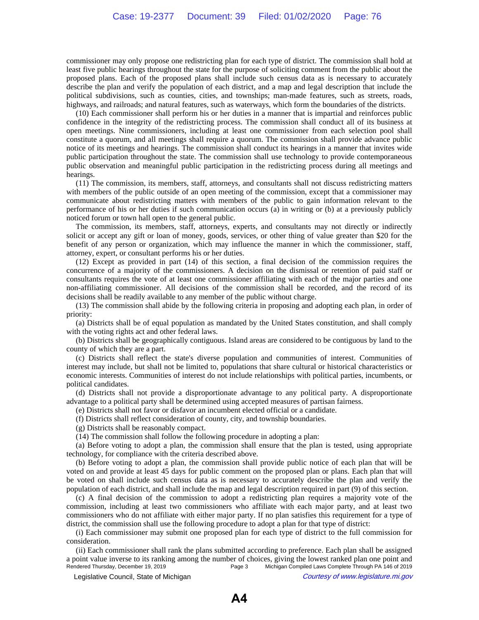commissioner may only propose one redistricting plan for each type of district. The commission shall hold at least five public hearings throughout the state for the purpose of soliciting comment from the public about the proposed plans. Each of the proposed plans shall include such census data as is necessary to accurately describe the plan and verify the population of each district, and a map and legal description that include the political subdivisions, such as counties, cities, and townships; man-made features, such as streets, roads, highways, and railroads; and natural features, such as waterways, which form the boundaries of the districts.

(10) Each commissioner shall perform his or her duties in a manner that is impartial and reinforces public confidence in the integrity of the redistricting process. The commission shall conduct all of its business at open meetings. Nine commissioners, including at least one commissioner from each selection pool shall constitute a quorum, and all meetings shall require a quorum. The commission shall provide advance public notice of its meetings and hearings. The commission shall conduct its hearings in a manner that invites wide public participation throughout the state. The commission shall use technology to provide contemporaneous public observation and meaningful public participation in the redistricting process during all meetings and hearings.

(11) The commission, its members, staff, attorneys, and consultants shall not discuss redistricting matters with members of the public outside of an open meeting of the commission, except that a commissioner may communicate about redistricting matters with members of the public to gain information relevant to the performance of his or her duties if such communication occurs (a) in writing or (b) at a previously publicly noticed forum or town hall open to the general public.

The commission, its members, staff, attorneys, experts, and consultants may not directly or indirectly solicit or accept any gift or loan of money, goods, services, or other thing of value greater than \$20 for the benefit of any person or organization, which may influence the manner in which the commissioner, staff, attorney, expert, or consultant performs his or her duties.

(12) Except as provided in part (14) of this section, a final decision of the commission requires the concurrence of a majority of the commissioners. A decision on the dismissal or retention of paid staff or consultants requires the vote of at least one commissioner affiliating with each of the major parties and one non-affiliating commissioner. All decisions of the commission shall be recorded, and the record of its decisions shall be readily available to any member of the public without charge.

(13) The commission shall abide by the following criteria in proposing and adopting each plan, in order of priority:

(a) Districts shall be of equal population as mandated by the United States constitution, and shall comply with the voting rights act and other federal laws.

(b) Districts shall be geographically contiguous. Island areas are considered to be contiguous by land to the county of which they are a part.

(c) Districts shall reflect the state's diverse population and communities of interest. Communities of interest may include, but shall not be limited to, populations that share cultural or historical characteristics or economic interests. Communities of interest do not include relationships with political parties, incumbents, or political candidates.

(d) Districts shall not provide a disproportionate advantage to any political party. A disproportionate advantage to a political party shall be determined using accepted measures of partisan fairness.

(e) Districts shall not favor or disfavor an incumbent elected official or a candidate.

(f) Districts shall reflect consideration of county, city, and township boundaries.

(g) Districts shall be reasonably compact.

(14) The commission shall follow the following procedure in adopting a plan:

(a) Before voting to adopt a plan, the commission shall ensure that the plan is tested, using appropriate technology, for compliance with the criteria described above.

(b) Before voting to adopt a plan, the commission shall provide public notice of each plan that will be voted on and provide at least 45 days for public comment on the proposed plan or plans. Each plan that will be voted on shall include such census data as is necessary to accurately describe the plan and verify the population of each district, and shall include the map and legal description required in part (9) of this section.

(c) A final decision of the commission to adopt a redistricting plan requires a majority vote of the commission, including at least two commissioners who affiliate with each major party, and at least two commissioners who do not affiliate with either major party. If no plan satisfies this requirement for a type of district, the commission shall use the following procedure to adopt a plan for that type of district:

(i) Each commissioner may submit one proposed plan for each type of district to the full commission for consideration.

(ii) Each commissioner shall rank the plans submitted according to preference. Each plan shall be assigned a point value inverse to its ranking among the number of choices, giving the lowest ranked plan one point and<br>Page 3 Michigan Compiled Laws Complete Through PA 146 of 2019 Michigan Compiled Laws Complete Through PA 146 of 2019 © Legislative Council, State of Michigan Council Courtesy of www.legislature.mi.gov